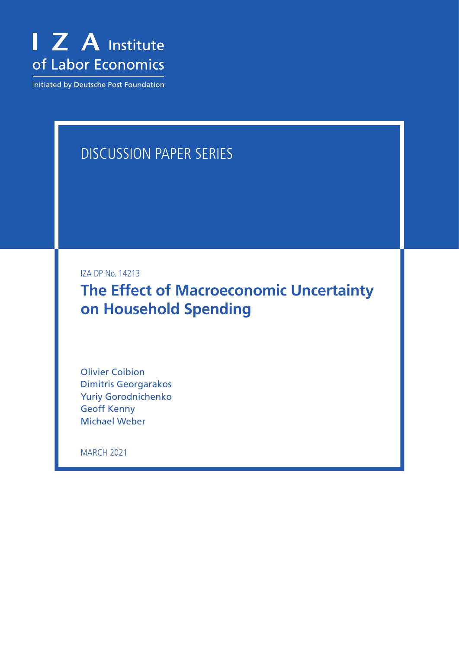

Initiated by Deutsche Post Foundation

# DISCUSSION PAPER SERIES

IZA DP No. 14213

**The Effect of Macroeconomic Uncertainty on Household Spending**

Olivier Coibion Dimitris Georgarakos Yuriy Gorodnichenko Geoff Kenny Michael Weber

MARCH 2021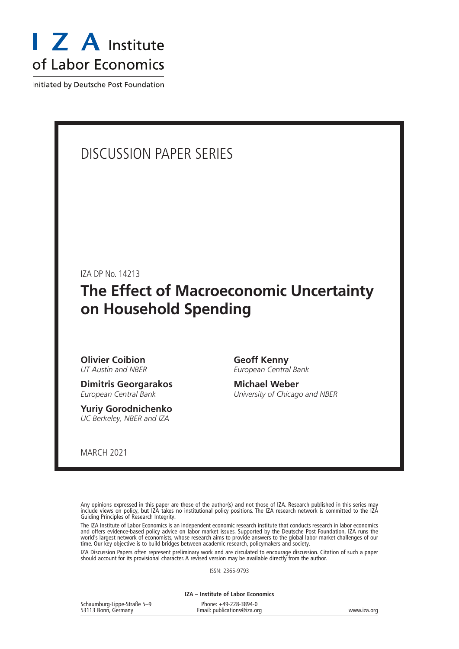

Initiated by Deutsche Post Foundation

# DISCUSSION PAPER SERIES

IZA DP No. 14213

# **The Effect of Macroeconomic Uncertainty on Household Spending**

**Olivier Coibion** *UT Austin and NBER*

**Dimitris Georgarakos** *European Central Bank*

**Yuriy Gorodnichenko** *UC Berkeley, NBER and IZA*

**Geoff Kenny** *European Central Bank*

**Michael Weber** *University of Chicago and NBER*

MARCH 2021

Any opinions expressed in this paper are those of the author(s) and not those of IZA. Research published in this series may include views on policy, but IZA takes no institutional policy positions. The IZA research network is committed to the IZA Guiding Principles of Research Integrity.

The IZA Institute of Labor Economics is an independent economic research institute that conducts research in labor economics and offers evidence-based policy advice on labor market issues. Supported by the Deutsche Post Foundation, IZA runs the world's largest network of economists, whose research aims to provide answers to the global labor market challenges of our time. Our key objective is to build bridges between academic research, policymakers and society.

IZA Discussion Papers often represent preliminary work and are circulated to encourage discussion. Citation of such a paper should account for its provisional character. A revised version may be available directly from the author.

ISSN: 2365-9793

**IZA – Institute of Labor Economics**

| Schaumburg-Lippe-Straße 5-9 | Phone: +49-228-3894-0       |             |
|-----------------------------|-----------------------------|-------------|
| 53113 Bonn, Germany         | Email: publications@iza.org | www.iza.org |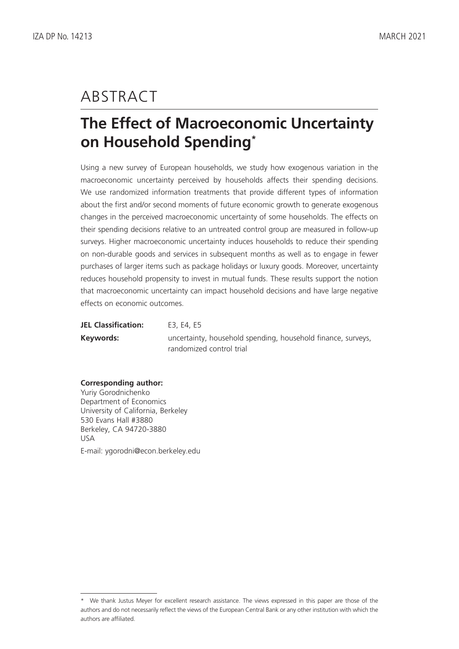# ABSTRACT

# **The Effect of Macroeconomic Uncertainty on Household Spending\***

Using a new survey of European households, we study how exogenous variation in the macroeconomic uncertainty perceived by households affects their spending decisions. We use randomized information treatments that provide different types of information about the first and/or second moments of future economic growth to generate exogenous changes in the perceived macroeconomic uncertainty of some households. The effects on their spending decisions relative to an untreated control group are measured in follow-up surveys. Higher macroeconomic uncertainty induces households to reduce their spending on non-durable goods and services in subsequent months as well as to engage in fewer purchases of larger items such as package holidays or luxury goods. Moreover, uncertainty reduces household propensity to invest in mutual funds. These results support the notion that macroeconomic uncertainty can impact household decisions and have large negative effects on economic outcomes.

| <b>JEL Classification:</b> | E3, E4, E5                                                   |
|----------------------------|--------------------------------------------------------------|
| Keywords:                  | uncertainty, household spending, household finance, surveys, |
|                            | randomized control trial                                     |

## **Corresponding author:**

Yuriy Gorodnichenko Department of Economics University of California, Berkeley 530 Evans Hall #3880 Berkeley, CA 94720-3880 USA E-mail: ygorodni@econ.berkeley.edu

<sup>\*</sup> We thank Justus Meyer for excellent research assistance. The views expressed in this paper are those of the authors and do not necessarily reflect the views of the European Central Bank or any other institution with which the authors are affiliated.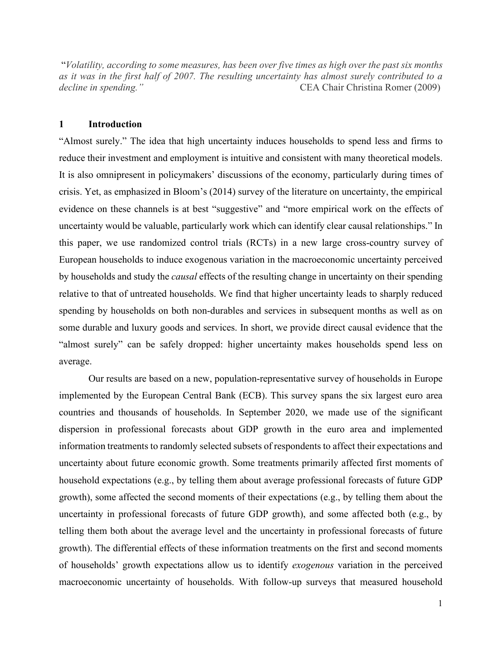"*Volatility, according to some measures, has been over five times as high over the past six months as it was in the first half of 2007. The resulting uncertainty has almost surely contributed to a decline in spending."* CEA Chair Christina Romer (2009)

#### **1 Introduction**

"Almost surely." The idea that high uncertainty induces households to spend less and firms to reduce their investment and employment is intuitive and consistent with many theoretical models. It is also omnipresent in policymakers' discussions of the economy, particularly during times of crisis. Yet, as emphasized in Bloom's (2014) survey of the literature on uncertainty, the empirical evidence on these channels is at best "suggestive" and "more empirical work on the effects of uncertainty would be valuable, particularly work which can identify clear causal relationships." In this paper, we use randomized control trials (RCTs) in a new large cross-country survey of European households to induce exogenous variation in the macroeconomic uncertainty perceived by households and study the *causal* effects of the resulting change in uncertainty on their spending relative to that of untreated households. We find that higher uncertainty leads to sharply reduced spending by households on both non-durables and services in subsequent months as well as on some durable and luxury goods and services. In short, we provide direct causal evidence that the "almost surely" can be safely dropped: higher uncertainty makes households spend less on average.

Our results are based on a new, population-representative survey of households in Europe implemented by the European Central Bank (ECB). This survey spans the six largest euro area countries and thousands of households. In September 2020, we made use of the significant dispersion in professional forecasts about GDP growth in the euro area and implemented information treatments to randomly selected subsets of respondents to affect their expectations and uncertainty about future economic growth. Some treatments primarily affected first moments of household expectations (e.g., by telling them about average professional forecasts of future GDP growth), some affected the second moments of their expectations (e.g., by telling them about the uncertainty in professional forecasts of future GDP growth), and some affected both (e.g., by telling them both about the average level and the uncertainty in professional forecasts of future growth). The differential effects of these information treatments on the first and second moments of households' growth expectations allow us to identify *exogenous* variation in the perceived macroeconomic uncertainty of households. With follow-up surveys that measured household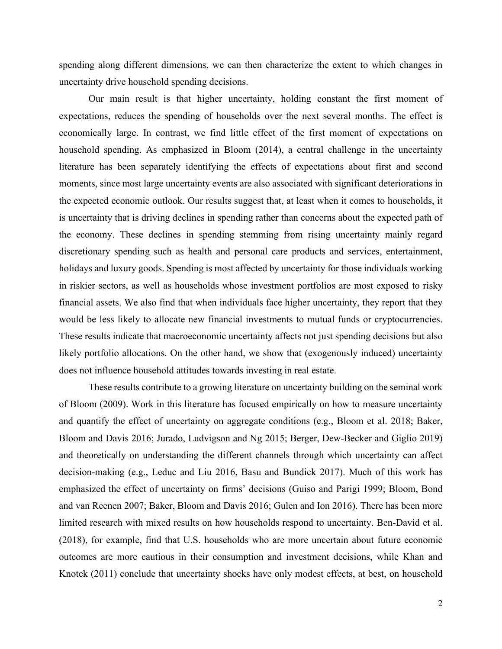spending along different dimensions, we can then characterize the extent to which changes in uncertainty drive household spending decisions.

Our main result is that higher uncertainty, holding constant the first moment of expectations, reduces the spending of households over the next several months. The effect is economically large. In contrast, we find little effect of the first moment of expectations on household spending. As emphasized in Bloom (2014), a central challenge in the uncertainty literature has been separately identifying the effects of expectations about first and second moments, since most large uncertainty events are also associated with significant deteriorations in the expected economic outlook. Our results suggest that, at least when it comes to households, it is uncertainty that is driving declines in spending rather than concerns about the expected path of the economy. These declines in spending stemming from rising uncertainty mainly regard discretionary spending such as health and personal care products and services, entertainment, holidays and luxury goods. Spending is most affected by uncertainty for those individuals working in riskier sectors, as well as households whose investment portfolios are most exposed to risky financial assets. We also find that when individuals face higher uncertainty, they report that they would be less likely to allocate new financial investments to mutual funds or cryptocurrencies. These results indicate that macroeconomic uncertainty affects not just spending decisions but also likely portfolio allocations. On the other hand, we show that (exogenously induced) uncertainty does not influence household attitudes towards investing in real estate.

These results contribute to a growing literature on uncertainty building on the seminal work of Bloom (2009). Work in this literature has focused empirically on how to measure uncertainty and quantify the effect of uncertainty on aggregate conditions (e.g., Bloom et al. 2018; Baker, Bloom and Davis 2016; Jurado, Ludvigson and Ng 2015; Berger, Dew-Becker and Giglio 2019) and theoretically on understanding the different channels through which uncertainty can affect decision-making (e.g., Leduc and Liu 2016, Basu and Bundick 2017). Much of this work has emphasized the effect of uncertainty on firms' decisions (Guiso and Parigi 1999; Bloom, Bond and van Reenen 2007; Baker, Bloom and Davis 2016; Gulen and Ion 2016). There has been more limited research with mixed results on how households respond to uncertainty. Ben-David et al. (2018), for example, find that U.S. households who are more uncertain about future economic outcomes are more cautious in their consumption and investment decisions, while Khan and Knotek (2011) conclude that uncertainty shocks have only modest effects, at best, on household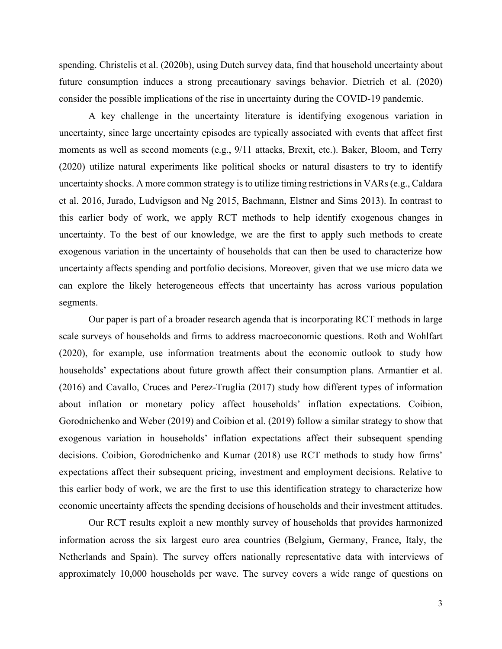spending. Christelis et al. (2020b), using Dutch survey data, find that household uncertainty about future consumption induces a strong precautionary savings behavior. Dietrich et al. (2020) consider the possible implications of the rise in uncertainty during the COVID-19 pandemic.

A key challenge in the uncertainty literature is identifying exogenous variation in uncertainty, since large uncertainty episodes are typically associated with events that affect first moments as well as second moments (e.g., 9/11 attacks, Brexit, etc.). Baker, Bloom, and Terry (2020) utilize natural experiments like political shocks or natural disasters to try to identify uncertainty shocks. A more common strategy is to utilize timing restrictions in VARs (e.g., Caldara et al. 2016, Jurado, Ludvigson and Ng 2015, Bachmann, Elstner and Sims 2013). In contrast to this earlier body of work, we apply RCT methods to help identify exogenous changes in uncertainty. To the best of our knowledge, we are the first to apply such methods to create exogenous variation in the uncertainty of households that can then be used to characterize how uncertainty affects spending and portfolio decisions. Moreover, given that we use micro data we can explore the likely heterogeneous effects that uncertainty has across various population segments.

Our paper is part of a broader research agenda that is incorporating RCT methods in large scale surveys of households and firms to address macroeconomic questions. Roth and Wohlfart (2020), for example, use information treatments about the economic outlook to study how households' expectations about future growth affect their consumption plans. Armantier et al. (2016) and Cavallo, Cruces and Perez-Truglia (2017) study how different types of information about inflation or monetary policy affect households' inflation expectations. Coibion, Gorodnichenko and Weber (2019) and Coibion et al. (2019) follow a similar strategy to show that exogenous variation in households' inflation expectations affect their subsequent spending decisions. Coibion, Gorodnichenko and Kumar (2018) use RCT methods to study how firms' expectations affect their subsequent pricing, investment and employment decisions. Relative to this earlier body of work, we are the first to use this identification strategy to characterize how economic uncertainty affects the spending decisions of households and their investment attitudes.

Our RCT results exploit a new monthly survey of households that provides harmonized information across the six largest euro area countries (Belgium, Germany, France, Italy, the Netherlands and Spain). The survey offers nationally representative data with interviews of approximately 10,000 households per wave. The survey covers a wide range of questions on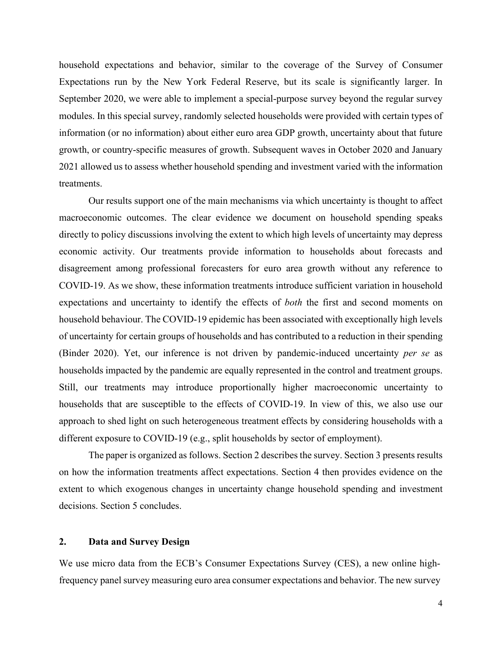household expectations and behavior, similar to the coverage of the Survey of Consumer Expectations run by the New York Federal Reserve, but its scale is significantly larger. In September 2020, we were able to implement a special-purpose survey beyond the regular survey modules. In this special survey, randomly selected households were provided with certain types of information (or no information) about either euro area GDP growth, uncertainty about that future growth, or country-specific measures of growth. Subsequent waves in October 2020 and January 2021 allowed us to assess whether household spending and investment varied with the information treatments.

Our results support one of the main mechanisms via which uncertainty is thought to affect macroeconomic outcomes. The clear evidence we document on household spending speaks directly to policy discussions involving the extent to which high levels of uncertainty may depress economic activity. Our treatments provide information to households about forecasts and disagreement among professional forecasters for euro area growth without any reference to COVID-19. As we show, these information treatments introduce sufficient variation in household expectations and uncertainty to identify the effects of *both* the first and second moments on household behaviour. The COVID-19 epidemic has been associated with exceptionally high levels of uncertainty for certain groups of households and has contributed to a reduction in their spending (Binder 2020). Yet, our inference is not driven by pandemic-induced uncertainty *per se* as households impacted by the pandemic are equally represented in the control and treatment groups. Still, our treatments may introduce proportionally higher macroeconomic uncertainty to households that are susceptible to the effects of COVID-19. In view of this, we also use our approach to shed light on such heterogeneous treatment effects by considering households with a different exposure to COVID-19 (e.g., split households by sector of employment).

The paper is organized as follows. Section 2 describes the survey. Section 3 presents results on how the information treatments affect expectations. Section 4 then provides evidence on the extent to which exogenous changes in uncertainty change household spending and investment decisions. Section 5 concludes.

## **2. Data and Survey Design**

We use micro data from the ECB's Consumer Expectations Survey (CES), a new online highfrequency panel survey measuring euro area consumer expectations and behavior. The new survey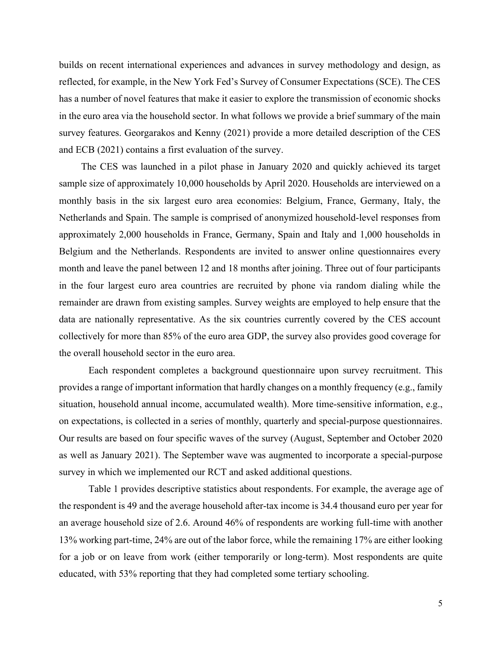builds on recent international experiences and advances in survey methodology and design, as reflected, for example, in the New York Fed's Survey of Consumer Expectations (SCE). The CES has a number of novel features that make it easier to explore the transmission of economic shocks in the euro area via the household sector. In what follows we provide a brief summary of the main survey features. Georgarakos and Kenny (2021) provide a more detailed description of the CES and ECB (2021) contains a first evaluation of the survey.

The CES was launched in a pilot phase in January 2020 and quickly achieved its target sample size of approximately 10,000 households by April 2020. Households are interviewed on a monthly basis in the six largest euro area economies: Belgium, France, Germany, Italy, the Netherlands and Spain. The sample is comprised of anonymized household-level responses from approximately 2,000 households in France, Germany, Spain and Italy and 1,000 households in Belgium and the Netherlands. Respondents are invited to answer online questionnaires every month and leave the panel between 12 and 18 months after joining. Three out of four participants in the four largest euro area countries are recruited by phone via random dialing while the remainder are drawn from existing samples. Survey weights are employed to help ensure that the data are nationally representative. As the six countries currently covered by the CES account collectively for more than 85% of the euro area GDP, the survey also provides good coverage for the overall household sector in the euro area.

Each respondent completes a background questionnaire upon survey recruitment. This provides a range of important information that hardly changes on a monthly frequency (e.g., family situation, household annual income, accumulated wealth). More time-sensitive information, e.g., on expectations, is collected in a series of monthly, quarterly and special-purpose questionnaires. Our results are based on four specific waves of the survey (August, September and October 2020 as well as January 2021). The September wave was augmented to incorporate a special-purpose survey in which we implemented our RCT and asked additional questions.

[Table 1](#page-31-0) provides descriptive statistics about respondents. For example, the average age of the respondent is 49 and the average household after-tax income is 34.4 thousand euro per year for an average household size of 2.6. Around 46% of respondents are working full-time with another 13% working part-time, 24% are out of the labor force, while the remaining 17% are either looking for a job or on leave from work (either temporarily or long-term). Most respondents are quite educated, with 53% reporting that they had completed some tertiary schooling.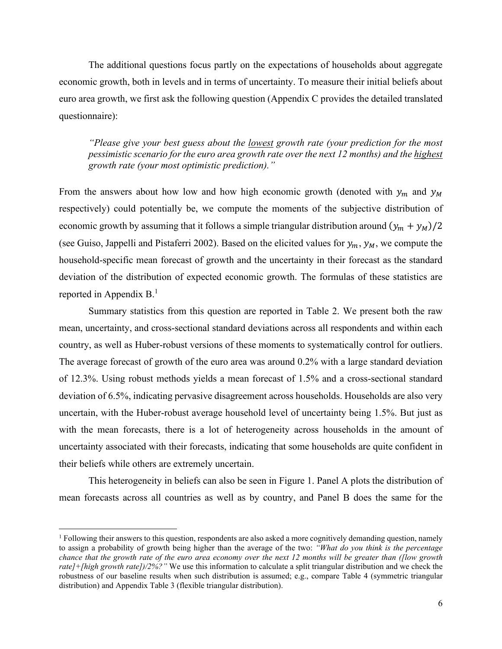The additional questions focus partly on the expectations of households about aggregate economic growth, both in levels and in terms of uncertainty. To measure their initial beliefs about euro area growth, we first ask the following question (Appendix C provides the detailed translated questionnaire):

*"Please give your best guess about the lowest growth rate (your prediction for the most pessimistic scenario for the euro area growth rate over the next 12 months) and the highest growth rate (your most optimistic prediction)."*

From the answers about how low and how high economic growth (denoted with  $y_m$  and  $y_M$ respectively) could potentially be, we compute the moments of the subjective distribution of economic growth by assuming that it follows a simple triangular distribution around  $(y_m + y_M)/2$ (see Guiso, Jappelli and Pistaferri 2002). Based on the elicited values for  $y_m$ ,  $y_M$ , we compute the household-specific mean forecast of growth and the uncertainty in their forecast as the standard deviation of the distribution of expected economic growth. The formulas of these statistics are reported in Appendix B.<sup>1</sup>

Summary statistics from this question are reported in [Table 2.](#page-32-0) We present both the raw mean, uncertainty, and cross-sectional standard deviations across all respondents and within each country, as well as Huber-robust versions of these moments to systematically control for outliers. The average forecast of growth of the euro area was around 0.2% with a large standard deviation of 12.3%. Using robust methods yields a mean forecast of 1.5% and a cross-sectional standard deviation of 6.5%, indicating pervasive disagreement across households. Households are also very uncertain, with the Huber-robust average household level of uncertainty being 1.5%. But just as with the mean forecasts, there is a lot of heterogeneity across households in the amount of uncertainty associated with their forecasts, indicating that some households are quite confident in their beliefs while others are extremely uncertain.

This heterogeneity in beliefs can also be seen in Figure 1. Panel A plots the distribution of mean forecasts across all countries as well as by country, and Panel B does the same for the

<sup>&</sup>lt;sup>1</sup> Following their answers to this question, respondents are also asked a more cognitively demanding question, namely to assign a probability of growth being higher than the average of the two: *"What do you think is the percentage chance that the growth rate of the euro area economy over the next 12 months will be greater than ([low growth rate]+[high growth rate])/2%?"* We use this information to calculate a split triangular distribution and we check the robustness of our baseline results when such distribution is assumed; e.g., compare [Table 4](#page-34-0) (symmetric triangular distribution) and [Appendix Table 3](#page-46-0) (flexible triangular distribution).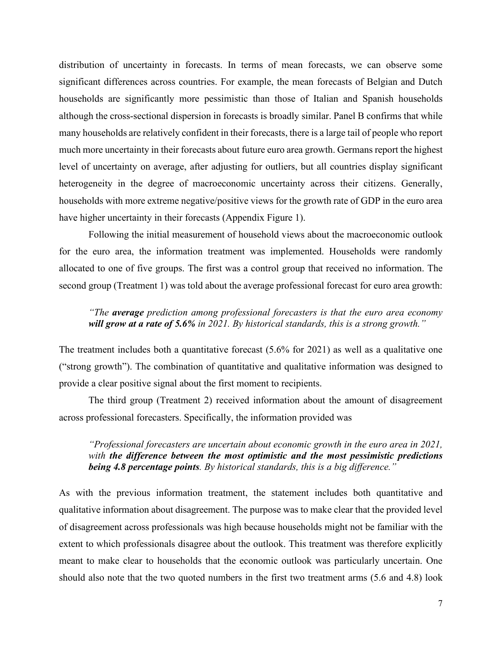distribution of uncertainty in forecasts. In terms of mean forecasts, we can observe some significant differences across countries. For example, the mean forecasts of Belgian and Dutch households are significantly more pessimistic than those of Italian and Spanish households although the cross-sectional dispersion in forecasts is broadly similar. Panel B confirms that while many households are relatively confident in their forecasts, there is a large tail of people who report much more uncertainty in their forecasts about future euro area growth. Germans report the highest level of uncertainty on average, after adjusting for outliers, but all countries display significant heterogeneity in the degree of macroeconomic uncertainty across their citizens. Generally, households with more extreme negative/positive views for the growth rate of GDP in the euro area have higher uncertainty in their forecasts [\(Appendix Figure 1\)](#page-43-0).

Following the initial measurement of household views about the macroeconomic outlook for the euro area, the information treatment was implemented. Households were randomly allocated to one of five groups. The first was a control group that received no information. The second group (Treatment 1) was told about the average professional forecast for euro area growth:

# *"The average prediction among professional forecasters is that the euro area economy will grow at a rate of 5.6% in 2021. By historical standards, this is a strong growth."*

The treatment includes both a quantitative forecast (5.6% for 2021) as well as a qualitative one ("strong growth"). The combination of quantitative and qualitative information was designed to provide a clear positive signal about the first moment to recipients.

The third group (Treatment 2) received information about the amount of disagreement across professional forecasters. Specifically, the information provided was

*"Professional forecasters are uncertain about economic growth in the euro area in 2021, with the difference between the most optimistic and the most pessimistic predictions being 4.8 percentage points. By historical standards, this is a big difference."* 

As with the previous information treatment, the statement includes both quantitative and qualitative information about disagreement. The purpose was to make clear that the provided level of disagreement across professionals was high because households might not be familiar with the extent to which professionals disagree about the outlook. This treatment was therefore explicitly meant to make clear to households that the economic outlook was particularly uncertain. One should also note that the two quoted numbers in the first two treatment arms (5.6 and 4.8) look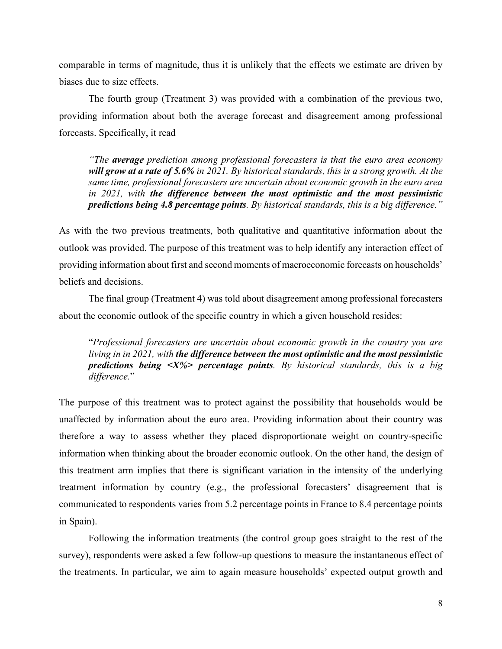comparable in terms of magnitude, thus it is unlikely that the effects we estimate are driven by biases due to size effects.

The fourth group (Treatment 3) was provided with a combination of the previous two, providing information about both the average forecast and disagreement among professional forecasts. Specifically, it read

*"The average prediction among professional forecasters is that the euro area economy will grow at a rate of 5.6% in 2021. By historical standards, this is a strong growth. At the same time, professional forecasters are uncertain about economic growth in the euro area in 2021, with the difference between the most optimistic and the most pessimistic predictions being 4.8 percentage points. By historical standards, this is a big difference."* 

As with the two previous treatments, both qualitative and quantitative information about the outlook was provided. The purpose of this treatment was to help identify any interaction effect of providing information about first and second moments of macroeconomic forecasts on households' beliefs and decisions.

The final group (Treatment 4) was told about disagreement among professional forecasters about the economic outlook of the specific country in which a given household resides:

"*Professional forecasters are uncertain about economic growth in the country you are living in in 2021, with the difference between the most optimistic and the most pessimistic predictions being <X%> percentage points. By historical standards, this is a big difference.*"

The purpose of this treatment was to protect against the possibility that households would be unaffected by information about the euro area. Providing information about their country was therefore a way to assess whether they placed disproportionate weight on country-specific information when thinking about the broader economic outlook. On the other hand, the design of this treatment arm implies that there is significant variation in the intensity of the underlying treatment information by country (e.g., the professional forecasters' disagreement that is communicated to respondents varies from 5.2 percentage points in France to 8.4 percentage points in Spain).

Following the information treatments (the control group goes straight to the rest of the survey), respondents were asked a few follow-up questions to measure the instantaneous effect of the treatments. In particular, we aim to again measure households' expected output growth and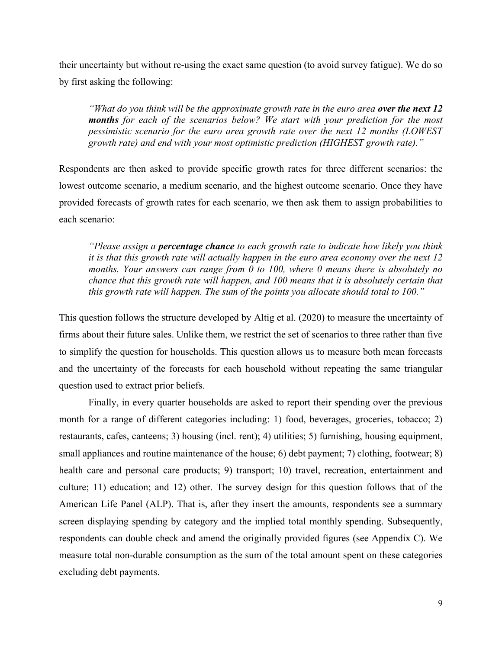their uncertainty but without re-using the exact same question (to avoid survey fatigue). We do so by first asking the following:

*"What do you think will be the approximate growth rate in the euro area over the next 12 months for each of the scenarios below? We start with your prediction for the most pessimistic scenario for the euro area growth rate over the next 12 months (LOWEST growth rate) and end with your most optimistic prediction (HIGHEST growth rate)."*

Respondents are then asked to provide specific growth rates for three different scenarios: the lowest outcome scenario, a medium scenario, and the highest outcome scenario. Once they have provided forecasts of growth rates for each scenario, we then ask them to assign probabilities to each scenario:

*"Please assign a percentage chance to each growth rate to indicate how likely you think it is that this growth rate will actually happen in the euro area economy over the next 12 months. Your answers can range from 0 to 100, where 0 means there is absolutely no chance that this growth rate will happen, and 100 means that it is absolutely certain that this growth rate will happen. The sum of the points you allocate should total to 100."* 

This question follows the structure developed by Altig et al. (2020) to measure the uncertainty of firms about their future sales. Unlike them, we restrict the set of scenarios to three rather than five to simplify the question for households. This question allows us to measure both mean forecasts and the uncertainty of the forecasts for each household without repeating the same triangular question used to extract prior beliefs.

Finally, in every quarter households are asked to report their spending over the previous month for a range of different categories including: 1) food, beverages, groceries, tobacco; 2) restaurants, cafes, canteens; 3) housing (incl. rent); 4) utilities; 5) furnishing, housing equipment, small appliances and routine maintenance of the house; 6) debt payment; 7) clothing, footwear; 8) health care and personal care products; 9) transport; 10) travel, recreation, entertainment and culture; 11) education; and 12) other. The survey design for this question follows that of the American Life Panel (ALP). That is, after they insert the amounts, respondents see a summary screen displaying spending by category and the implied total monthly spending. Subsequently, respondents can double check and amend the originally provided figures (see Appendix C). We measure total non-durable consumption as the sum of the total amount spent on these categories excluding debt payments.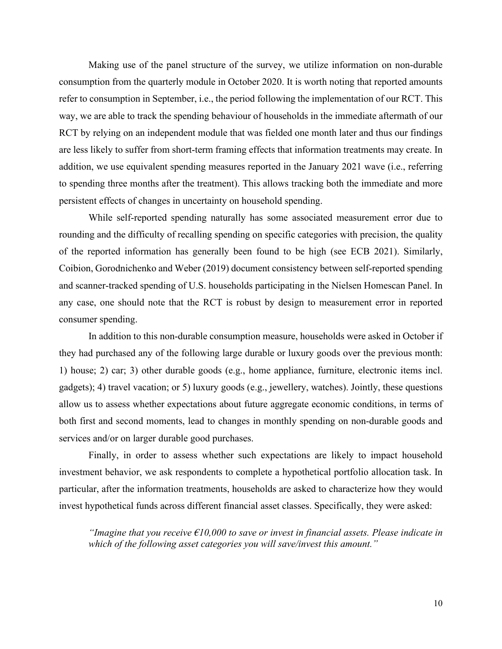Making use of the panel structure of the survey, we utilize information on non-durable consumption from the quarterly module in October 2020. It is worth noting that reported amounts refer to consumption in September, i.e., the period following the implementation of our RCT. This way, we are able to track the spending behaviour of households in the immediate aftermath of our RCT by relying on an independent module that was fielded one month later and thus our findings are less likely to suffer from short-term framing effects that information treatments may create. In addition, we use equivalent spending measures reported in the January 2021 wave (i.e., referring to spending three months after the treatment). This allows tracking both the immediate and more persistent effects of changes in uncertainty on household spending.

While self-reported spending naturally has some associated measurement error due to rounding and the difficulty of recalling spending on specific categories with precision, the quality of the reported information has generally been found to be high (see ECB 2021). Similarly, Coibion, Gorodnichenko and Weber (2019) document consistency between self-reported spending and scanner-tracked spending of U.S. households participating in the Nielsen Homescan Panel. In any case, one should note that the RCT is robust by design to measurement error in reported consumer spending.

In addition to this non-durable consumption measure, households were asked in October if they had purchased any of the following large durable or luxury goods over the previous month: 1) house; 2) car; 3) other durable goods (e.g., home appliance, furniture, electronic items incl. gadgets); 4) travel vacation; or 5) luxury goods (e.g., jewellery, watches). Jointly, these questions allow us to assess whether expectations about future aggregate economic conditions, in terms of both first and second moments, lead to changes in monthly spending on non-durable goods and services and/or on larger durable good purchases.

Finally, in order to assess whether such expectations are likely to impact household investment behavior, we ask respondents to complete a hypothetical portfolio allocation task. In particular, after the information treatments, households are asked to characterize how they would invest hypothetical funds across different financial asset classes. Specifically, they were asked:

*"Imagine that you receive €10,000 to save or invest in financial assets. Please indicate in which of the following asset categories you will save/invest this amount."*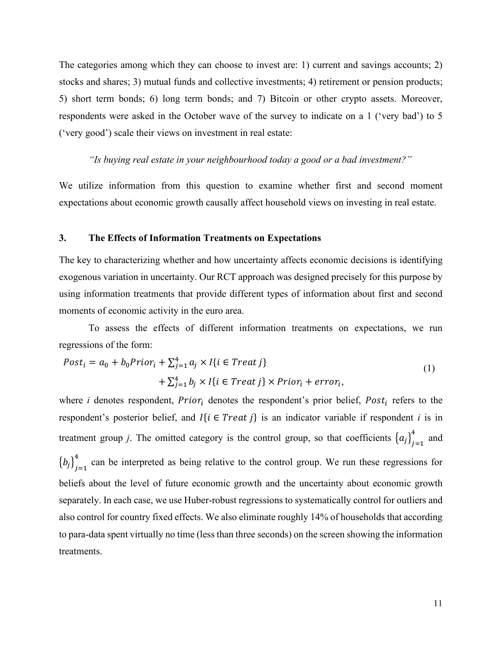The categories among which they can choose to invest are: 1) current and savings accounts; 2) stocks and shares; 3) mutual funds and collective investments; 4) retirement or pension products; 5) short term bonds; 6) long term bonds; and 7) Bitcoin or other crypto assets. Moreover, respondents were asked in the October wave of the survey to indicate on a 1 ('very bad') to 5 ('very good') scale their views on investment in real estate:

#### *"Is buying real estate in your neighbourhood today a good or a bad investment?"*

We utilize information from this question to examine whether first and second moment expectations about economic growth causally affect household views on investing in real estate.

#### **3. The Effects of Information Treatments on Expectations**

The key to characterizing whether and how uncertainty affects economic decisions is identifying exogenous variation in uncertainty. Our RCT approach was designed precisely for this purpose by using information treatments that provide different types of information about first and second moments of economic activity in the euro area.

To assess the effects of different information treatments on expectations, we run regressions of the form:

$$
Posti = a0 + b0 Priori + \sum_{j=1}^{4} a_j \times I\{i \in Treat\ j\}
$$
  
+ 
$$
\sum_{j=1}^{4} b_j \times I\{i \in Treat\ j\} \times Prior_i + error_i,
$$
 (1)

where *i* denotes respondent,  $Prior_i$  denotes the respondent's prior belief,  $Post_i$  refers to the respondent's posterior belief, and  $I\{i \in Treat\}$  is an indicator variable if respondent *i* is in treatment group *j*. The omitted category is the control group, so that coefficients  $\{a_j\}_{j=1}^4$  and  ${b_j}_{j=1}^4$  can be interpreted as being relative to the control group. We run these regressions for beliefs about the level of future economic growth and the uncertainty about economic growth separately. In each case, we use Huber-robust regressions to systematically control for outliers and also control for country fixed effects. We also eliminate roughly 14% of households that according to para-data spent virtually no time (less than three seconds) on the screen showing the information treatments.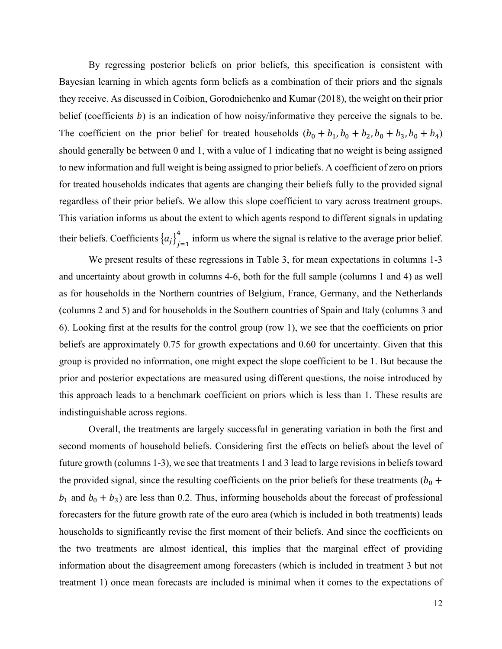By regressing posterior beliefs on prior beliefs, this specification is consistent with Bayesian learning in which agents form beliefs as a combination of their priors and the signals they receive. As discussed in Coibion, Gorodnichenko and Kumar (2018), the weight on their prior belief (coefficients  $b$ ) is an indication of how noisy/informative they perceive the signals to be. The coefficient on the prior belief for treated households  $(b_0 + b_1, b_0 + b_2, b_0 + b_3, b_0 + b_4)$ should generally be between 0 and 1, with a value of 1 indicating that no weight is being assigned to new information and full weight is being assigned to prior beliefs. A coefficient of zero on priors for treated households indicates that agents are changing their beliefs fully to the provided signal regardless of their prior beliefs. We allow this slope coefficient to vary across treatment groups. This variation informs us about the extent to which agents respond to different signals in updating their beliefs. Coefficients  $\{a_j\}_{j=1}^4$  inform us where the signal is relative to the average prior belief.

We present results of these regressions in [Table 3,](#page-33-0) for mean expectations in columns 1-3 and uncertainty about growth in columns 4-6, both for the full sample (columns 1 and 4) as well as for households in the Northern countries of Belgium, France, Germany, and the Netherlands (columns 2 and 5) and for households in the Southern countries of Spain and Italy (columns 3 and 6). Looking first at the results for the control group (row 1), we see that the coefficients on prior beliefs are approximately 0.75 for growth expectations and 0.60 for uncertainty. Given that this group is provided no information, one might expect the slope coefficient to be 1. But because the prior and posterior expectations are measured using different questions, the noise introduced by this approach leads to a benchmark coefficient on priors which is less than 1. These results are indistinguishable across regions.

Overall, the treatments are largely successful in generating variation in both the first and second moments of household beliefs. Considering first the effects on beliefs about the level of future growth (columns 1-3), we see that treatments 1 and 3 lead to large revisions in beliefs toward the provided signal, since the resulting coefficients on the prior beliefs for these treatments ( $b_0$  +  $b_1$  and  $b_0 + b_3$ ) are less than 0.2. Thus, informing households about the forecast of professional forecasters for the future growth rate of the euro area (which is included in both treatments) leads households to significantly revise the first moment of their beliefs. And since the coefficients on the two treatments are almost identical, this implies that the marginal effect of providing information about the disagreement among forecasters (which is included in treatment 3 but not treatment 1) once mean forecasts are included is minimal when it comes to the expectations of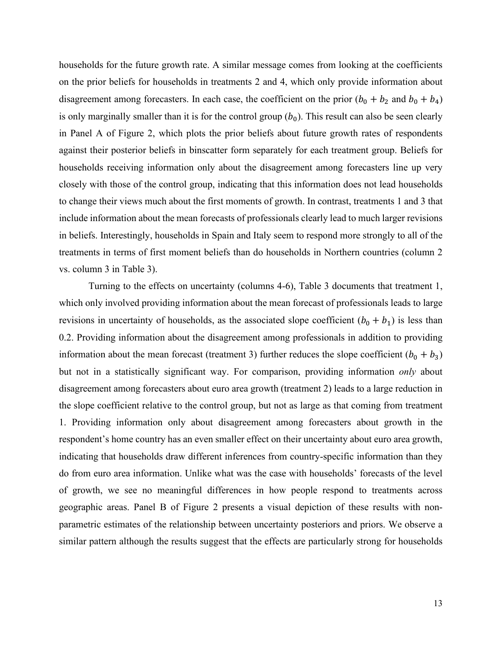households for the future growth rate. A similar message comes from looking at the coefficients on the prior beliefs for households in treatments 2 and 4, which only provide information about disagreement among forecasters. In each case, the coefficient on the prior  $(b_0 + b_2$  and  $b_0 + b_4)$ is only marginally smaller than it is for the control group  $(b_0)$ . This result can also be seen clearly in Panel A of Figure 2, which plots the prior beliefs about future growth rates of respondents against their posterior beliefs in binscatter form separately for each treatment group. Beliefs for households receiving information only about the disagreement among forecasters line up very closely with those of the control group, indicating that this information does not lead households to change their views much about the first moments of growth. In contrast, treatments 1 and 3 that include information about the mean forecasts of professionals clearly lead to much larger revisions in beliefs. Interestingly, households in Spain and Italy seem to respond more strongly to all of the treatments in terms of first moment beliefs than do households in Northern countries (column 2 vs. column 3 in [Table 3\)](#page-33-0).

Turning to the effects on uncertainty (columns 4-6), [Table 3](#page-33-0) documents that treatment 1, which only involved providing information about the mean forecast of professionals leads to large revisions in uncertainty of households, as the associated slope coefficient  $(b_0 + b_1)$  is less than 0.2. Providing information about the disagreement among professionals in addition to providing information about the mean forecast (treatment 3) further reduces the slope coefficient  $(b_0 + b_3)$ but not in a statistically significant way. For comparison, providing information *only* about disagreement among forecasters about euro area growth (treatment 2) leads to a large reduction in the slope coefficient relative to the control group, but not as large as that coming from treatment 1. Providing information only about disagreement among forecasters about growth in the respondent's home country has an even smaller effect on their uncertainty about euro area growth, indicating that households draw different inferences from country-specific information than they do from euro area information. Unlike what was the case with households' forecasts of the level of growth, we see no meaningful differences in how people respond to treatments across geographic areas. Panel B of Figure 2 presents a visual depiction of these results with nonparametric estimates of the relationship between uncertainty posteriors and priors. We observe a similar pattern although the results suggest that the effects are particularly strong for households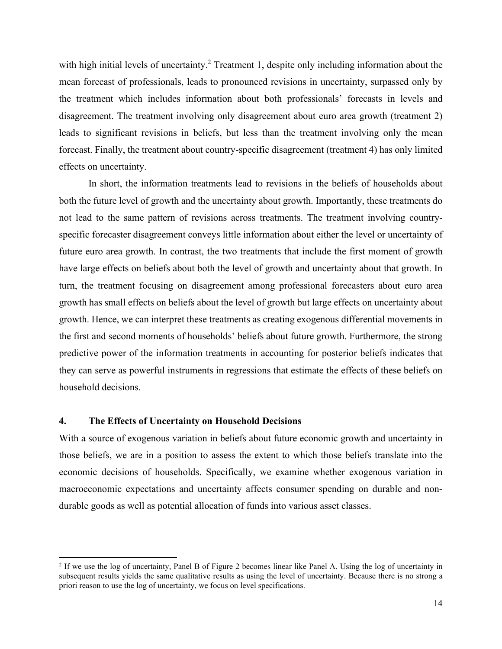with high initial levels of uncertainty.<sup>2</sup> Treatment 1, despite only including information about the mean forecast of professionals, leads to pronounced revisions in uncertainty, surpassed only by the treatment which includes information about both professionals' forecasts in levels and disagreement. The treatment involving only disagreement about euro area growth (treatment 2) leads to significant revisions in beliefs, but less than the treatment involving only the mean forecast. Finally, the treatment about country-specific disagreement (treatment 4) has only limited effects on uncertainty.

In short, the information treatments lead to revisions in the beliefs of households about both the future level of growth and the uncertainty about growth. Importantly, these treatments do not lead to the same pattern of revisions across treatments. The treatment involving countryspecific forecaster disagreement conveys little information about either the level or uncertainty of future euro area growth. In contrast, the two treatments that include the first moment of growth have large effects on beliefs about both the level of growth and uncertainty about that growth. In turn, the treatment focusing on disagreement among professional forecasters about euro area growth has small effects on beliefs about the level of growth but large effects on uncertainty about growth. Hence, we can interpret these treatments as creating exogenous differential movements in the first and second moments of households' beliefs about future growth. Furthermore, the strong predictive power of the information treatments in accounting for posterior beliefs indicates that they can serve as powerful instruments in regressions that estimate the effects of these beliefs on household decisions.

#### **4. The Effects of Uncertainty on Household Decisions**

With a source of exogenous variation in beliefs about future economic growth and uncertainty in those beliefs, we are in a position to assess the extent to which those beliefs translate into the economic decisions of households. Specifically, we examine whether exogenous variation in macroeconomic expectations and uncertainty affects consumer spending on durable and nondurable goods as well as potential allocation of funds into various asset classes.

<sup>&</sup>lt;sup>2</sup> If we use the log of uncertainty, Panel B of Figure 2 becomes linear like Panel A. Using the log of uncertainty in subsequent results yields the same qualitative results as using the level of uncertainty. Because there is no strong a priori reason to use the log of uncertainty, we focus on level specifications.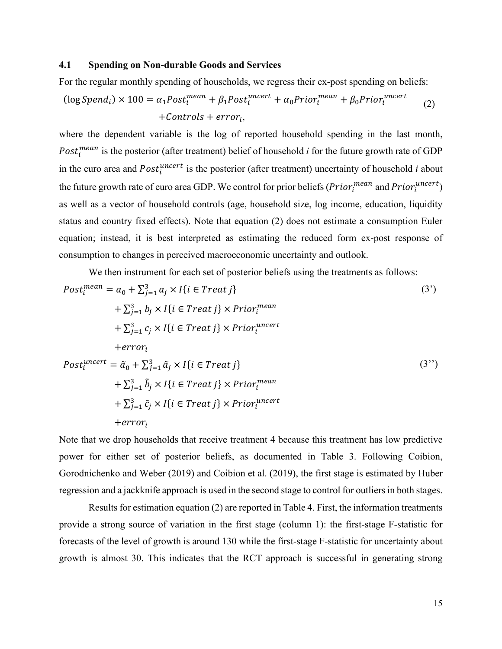#### **4.1 Spending on Non-durable Goods and Services**

For the regular monthly spending of households, we regress their ex-post spending on beliefs:

$$
(\log Spend_i) \times 100 = \alpha_1 Post_i^{mean} + \beta_1 Post_i^{uncert} + \alpha_0 Prior_i^{mean} + \beta_0 Prior_i^{uncert}
$$
  
+*Controls + error<sub>i</sub>,* (2)

where the dependent variable is the log of reported household spending in the last month, Post<sub>i</sub>  $post_i$  is the posterior (after treatment) belief of household *i* for the future growth rate of GDP in the euro area and  $Post<sub>i</sub><sup>uncert</sup>$  is the posterior (after treatment) uncertainty of household *i* about the future growth rate of euro area GDP. We control for prior beliefs  $(Prior_i^{mean}$  and  $Prior_i^{uncert})$ as well as a vector of household controls (age, household size, log income, education, liquidity status and country fixed effects). Note that equation (2) does not estimate a consumption Euler equation; instead, it is best interpreted as estimating the reduced form ex-post response of consumption to changes in perceived macroeconomic uncertainty and outlook.

We then instrument for each set of posterior beliefs using the treatments as follows:

$$
Post_i^{mean} = a_0 + \sum_{j=1}^{3} a_j \times I\{i \in Treat\ j\}
$$
\n
$$
+ \sum_{j=1}^{3} b_j \times I\{i \in Treat\ j\} \times Prior_i^{mean}
$$
\n
$$
+ \sum_{j=1}^{3} c_j \times I\{i \in Treat\ j\} \times Prior_i^{uncert}
$$
\n
$$
+error_i
$$
\n
$$
Post_i^{uncert} = \tilde{a}_0 + \sum_{j=1}^{3} \tilde{a}_j \times I\{i \in Treat\ j\}
$$
\n
$$
+ \sum_{j=1}^{3} \tilde{b}_j \times I\{i \in Treat\ j\} \times Prior_i^{mean}
$$
\n
$$
+ \sum_{j=1}^{3} \tilde{c}_j \times I\{i \in Treat\ j\} \times Prior_i^{uncert}
$$
\n
$$
+error_i
$$
\n
$$
+error_i
$$
\n(3')

Note that we drop households that receive treatment 4 because this treatment has low predictive power for either set of posterior beliefs, as documented in [Table 3.](#page-33-0) Following Coibion, Gorodnichenko and Weber (2019) and Coibion et al. (2019), the first stage is estimated by Huber regression and a jackknife approach is used in the second stage to control for outliers in both stages.

Results for estimation equation (2) are reported i[n Table 4.](#page-34-0) First, the information treatments provide a strong source of variation in the first stage (column 1): the first-stage F-statistic for forecasts of the level of growth is around 130 while the first-stage F-statistic for uncertainty about growth is almost 30. This indicates that the RCT approach is successful in generating strong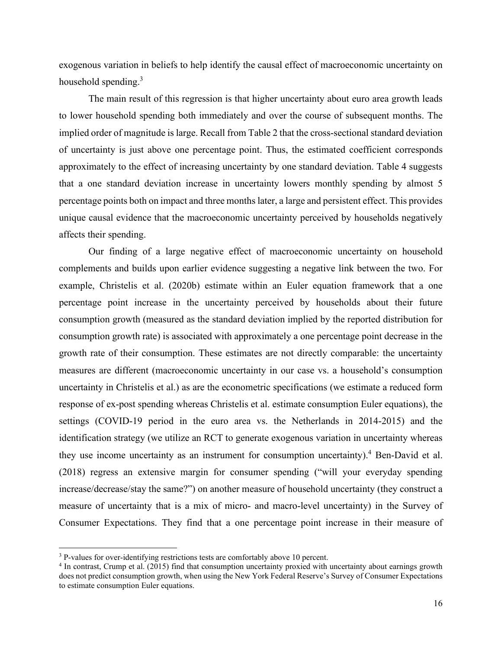exogenous variation in beliefs to help identify the causal effect of macroeconomic uncertainty on household spending.<sup>3</sup>

The main result of this regression is that higher uncertainty about euro area growth leads to lower household spending both immediately and over the course of subsequent months. The implied order of magnitude is large. Recall from Table 2 that the cross-sectional standard deviation of uncertainty is just above one percentage point. Thus, the estimated coefficient corresponds approximately to the effect of increasing uncertainty by one standard deviation. [Table 4](#page-34-0) suggests that a one standard deviation increase in uncertainty lowers monthly spending by almost 5 percentage points both on impact and three months later, a large and persistent effect. This provides unique causal evidence that the macroeconomic uncertainty perceived by households negatively affects their spending.

Our finding of a large negative effect of macroeconomic uncertainty on household complements and builds upon earlier evidence suggesting a negative link between the two. For example, Christelis et al. (2020b) estimate within an Euler equation framework that a one percentage point increase in the uncertainty perceived by households about their future consumption growth (measured as the standard deviation implied by the reported distribution for consumption growth rate) is associated with approximately a one percentage point decrease in the growth rate of their consumption. These estimates are not directly comparable: the uncertainty measures are different (macroeconomic uncertainty in our case vs. a household's consumption uncertainty in Christelis et al.) as are the econometric specifications (we estimate a reduced form response of ex-post spending whereas Christelis et al. estimate consumption Euler equations), the settings (COVID-19 period in the euro area vs. the Netherlands in 2014-2015) and the identification strategy (we utilize an RCT to generate exogenous variation in uncertainty whereas they use income uncertainty as an instrument for consumption uncertainty).<sup>4</sup> Ben-David et al. (2018) regress an extensive margin for consumer spending ("will your everyday spending increase/decrease/stay the same?") on another measure of household uncertainty (they construct a measure of uncertainty that is a mix of micro- and macro-level uncertainty) in the Survey of Consumer Expectations. They find that a one percentage point increase in their measure of

<sup>&</sup>lt;sup>3</sup> P-values for over-identifying restrictions tests are comfortably above 10 percent.<br><sup>4</sup> In contrast, Crump et al. (2015) find that consumption uncertainty proxied with uncertainty about earnings growth does not predict consumption growth, when using the New York Federal Reserve's Survey of Consumer Expectations to estimate consumption Euler equations.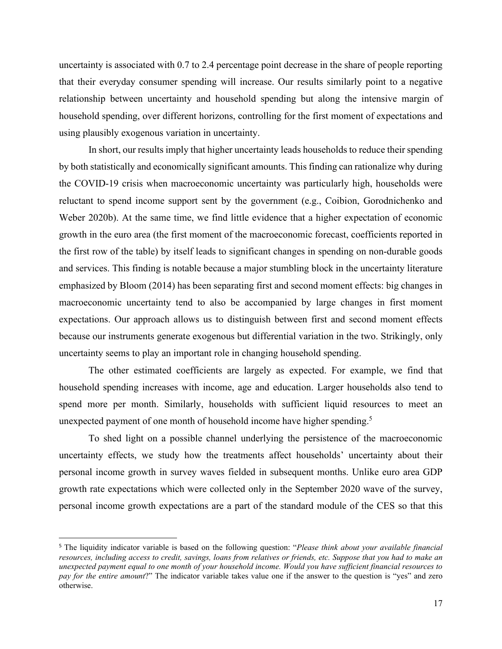uncertainty is associated with 0.7 to 2.4 percentage point decrease in the share of people reporting that their everyday consumer spending will increase. Our results similarly point to a negative relationship between uncertainty and household spending but along the intensive margin of household spending, over different horizons, controlling for the first moment of expectations and using plausibly exogenous variation in uncertainty.

In short, our results imply that higher uncertainty leads households to reduce their spending by both statistically and economically significant amounts. This finding can rationalize why during the COVID-19 crisis when macroeconomic uncertainty was particularly high, households were reluctant to spend income support sent by the government (e.g., Coibion, Gorodnichenko and Weber 2020b). At the same time, we find little evidence that a higher expectation of economic growth in the euro area (the first moment of the macroeconomic forecast, coefficients reported in the first row of the table) by itself leads to significant changes in spending on non-durable goods and services. This finding is notable because a major stumbling block in the uncertainty literature emphasized by Bloom (2014) has been separating first and second moment effects: big changes in macroeconomic uncertainty tend to also be accompanied by large changes in first moment expectations. Our approach allows us to distinguish between first and second moment effects because our instruments generate exogenous but differential variation in the two. Strikingly, only uncertainty seems to play an important role in changing household spending.

The other estimated coefficients are largely as expected. For example, we find that household spending increases with income, age and education. Larger households also tend to spend more per month. Similarly, households with sufficient liquid resources to meet an unexpected payment of one month of household income have higher spending.<sup>5</sup>

To shed light on a possible channel underlying the persistence of the macroeconomic uncertainty effects, we study how the treatments affect households' uncertainty about their personal income growth in survey waves fielded in subsequent months. Unlike euro area GDP growth rate expectations which were collected only in the September 2020 wave of the survey, personal income growth expectations are a part of the standard module of the CES so that this

<sup>5</sup> The liquidity indicator variable is based on the following question: "*Please think about your available financial resources, including access to credit, savings, loans from relatives or friends, etc. Suppose that you had to make an unexpected payment equal to one month of your household income. Would you have sufficient financial resources to pay for the entire amount*?" The indicator variable takes value one if the answer to the question is "yes" and zero otherwise.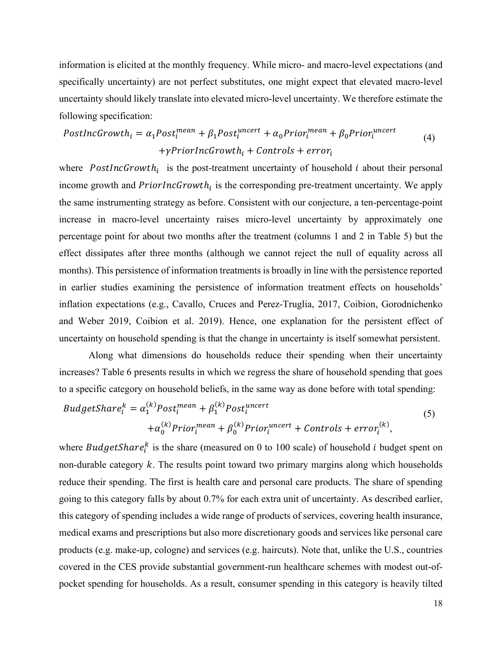information is elicited at the monthly frequency. While micro- and macro-level expectations (and specifically uncertainty) are not perfect substitutes, one might expect that elevated macro-level uncertainty should likely translate into elevated micro-level uncertainty. We therefore estimate the following specification:

$$
PostIncGrowth_i = \alpha_1 Post_i^{mean} + \beta_1 Post_i^{uncert} + \alpha_0 Prior_i^{mean} + \beta_0 Prior_i^{uncert} + \gamma PriorIncGrowth_i + Controls + error_i
$$
\n(4)

where PostIncGrowth<sub>i</sub> is the post-treatment uncertainty of household i about their personal income growth and  $PriorIncGrowth_i$  is the corresponding pre-treatment uncertainty. We apply the same instrumenting strategy as before. Consistent with our conjecture, a ten-percentage-point increase in macro-level uncertainty raises micro-level uncertainty by approximately one percentage point for about two months after the treatment (columns 1 and 2 in [Table 5\)](#page-35-0) but the effect dissipates after three months (although we cannot reject the null of equality across all months). This persistence of information treatments is broadly in line with the persistence reported in earlier studies examining the persistence of information treatment effects on households' inflation expectations (e.g., Cavallo, Cruces and Perez-Truglia, 2017, Coibion, Gorodnichenko and Weber 2019, Coibion et al. 2019). Hence, one explanation for the persistent effect of uncertainty on household spending is that the change in uncertainty is itself somewhat persistent.

Along what dimensions do households reduce their spending when their uncertainty increases? [Table 6](#page-36-0) presents results in which we regress the share of household spending that goes to a specific category on household beliefs, in the same way as done before with total spending:

$$
BudgetShare_i^k = \alpha_1^{(k)}Post_i^{mean} + \beta_1^{(k)}Post_i^{uncert} + \mathcal{O}_{\text{on,}^{(k)}} \tag{5}
$$
\n
$$
+ \alpha_0^{(k)} Prior_i^{mean} + \beta_0^{(k)} Prior_i^{uncert} + \mathcal{C}_{\text{on,}^{(k)}} + error_i^{(k)},
$$

where  $BudgetShare_i^k$  is the share (measured on 0 to 100 scale) of household *i* budget spent on non-durable category  $k$ . The results point toward two primary margins along which households reduce their spending. The first is health care and personal care products. The share of spending going to this category falls by about 0.7% for each extra unit of uncertainty. As described earlier, this category of spending includes a wide range of products of services, covering health insurance, medical exams and prescriptions but also more discretionary goods and services like personal care products (e.g. make-up, cologne) and services (e.g. haircuts). Note that, unlike the U.S., countries covered in the CES provide substantial government-run healthcare schemes with modest out-ofpocket spending for households. As a result, consumer spending in this category is heavily tilted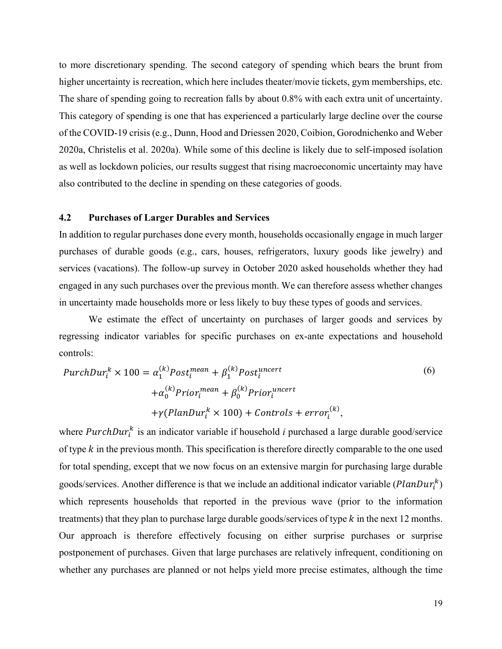to more discretionary spending. The second category of spending which bears the brunt from higher uncertainty is recreation, which here includes theater/movie tickets, gym memberships, etc. The share of spending going to recreation falls by about 0.8% with each extra unit of uncertainty. This category of spending is one that has experienced a particularly large decline over the course of the COVID-19 crisis (e.g., Dunn, Hood and Driessen 2020, Coibion, Gorodnichenko and Weber 2020a, Christelis et al. 2020a). While some of this decline is likely due to self-imposed isolation as well as lockdown policies, our results suggest that rising macroeconomic uncertainty may have also contributed to the decline in spending on these categories of goods.

### **4.2 Purchases of Larger Durables and Services**

In addition to regular purchases done every month, households occasionally engage in much larger purchases of durable goods (e.g., cars, houses, refrigerators, luxury goods like jewelry) and services (vacations). The follow-up survey in October 2020 asked households whether they had engaged in any such purchases over the previous month. We can therefore assess whether changes in uncertainty made households more or less likely to buy these types of goods and services.

We estimate the effect of uncertainty on purchases of larger goods and services by regressing indicator variables for specific purchases on ex-ante expectations and household controls:

$$
PurchDur_i^k \times 100 = \alpha_1^{(k)} Post_i^{mean} + \beta_1^{(k)} Post_i^{uncert}
$$
  
+  $\alpha_0^{(k)} Prior_i^{mean} + \beta_0^{(k)} Prior_i^{uncert}$   
+  $\gamma(PlanDur_i^k \times 100) + Controls + error_i^{(k)}$ , (6)

where  $PurchDur<sub>i</sub><sup>k</sup>$  is an indicator variable if household *i* purchased a large durable good/service of type  $k$  in the previous month. This specification is therefore directly comparable to the one used for total spending, except that we now focus on an extensive margin for purchasing large durable goods/services. Another difference is that we include an additional indicator variable  $(PlanDur<sub>i</sub><sup>K</sup>)$ which represents households that reported in the previous wave (prior to the information treatments) that they plan to purchase large durable goods/services of type  $k$  in the next 12 months. Our approach is therefore effectively focusing on either surprise purchases or surprise postponement of purchases. Given that large purchases are relatively infrequent, conditioning on whether any purchases are planned or not helps yield more precise estimates, although the time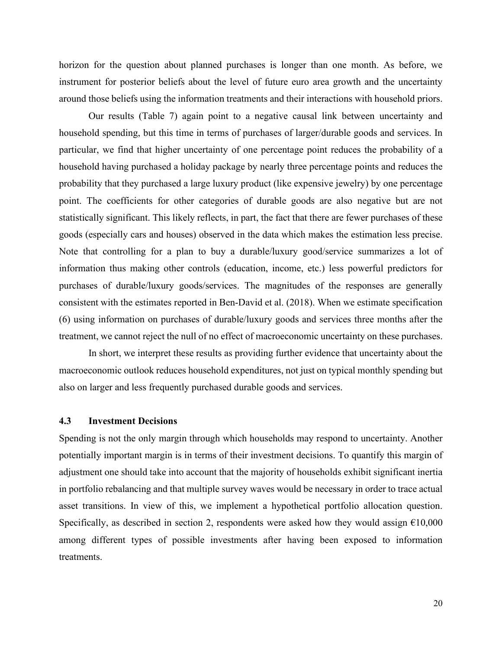horizon for the question about planned purchases is longer than one month. As before, we instrument for posterior beliefs about the level of future euro area growth and the uncertainty around those beliefs using the information treatments and their interactions with household priors.

Our results [\(Table 7\)](#page-37-0) again point to a negative causal link between uncertainty and household spending, but this time in terms of purchases of larger/durable goods and services. In particular, we find that higher uncertainty of one percentage point reduces the probability of a household having purchased a holiday package by nearly three percentage points and reduces the probability that they purchased a large luxury product (like expensive jewelry) by one percentage point. The coefficients for other categories of durable goods are also negative but are not statistically significant. This likely reflects, in part, the fact that there are fewer purchases of these goods (especially cars and houses) observed in the data which makes the estimation less precise. Note that controlling for a plan to buy a durable/luxury good/service summarizes a lot of information thus making other controls (education, income, etc.) less powerful predictors for purchases of durable/luxury goods/services. The magnitudes of the responses are generally consistent with the estimates reported in Ben-David et al. (2018). When we estimate specification (6) using information on purchases of durable/luxury goods and services three months after the treatment, we cannot reject the null of no effect of macroeconomic uncertainty on these purchases.

In short, we interpret these results as providing further evidence that uncertainty about the macroeconomic outlook reduces household expenditures, not just on typical monthly spending but also on larger and less frequently purchased durable goods and services.

## **4.3 Investment Decisions**

Spending is not the only margin through which households may respond to uncertainty. Another potentially important margin is in terms of their investment decisions. To quantify this margin of adjustment one should take into account that the majority of households exhibit significant inertia in portfolio rebalancing and that multiple survey waves would be necessary in order to trace actual asset transitions. In view of this, we implement a hypothetical portfolio allocation question. Specifically, as described in section 2, respondents were asked how they would assign  $£10,000$ among different types of possible investments after having been exposed to information treatments.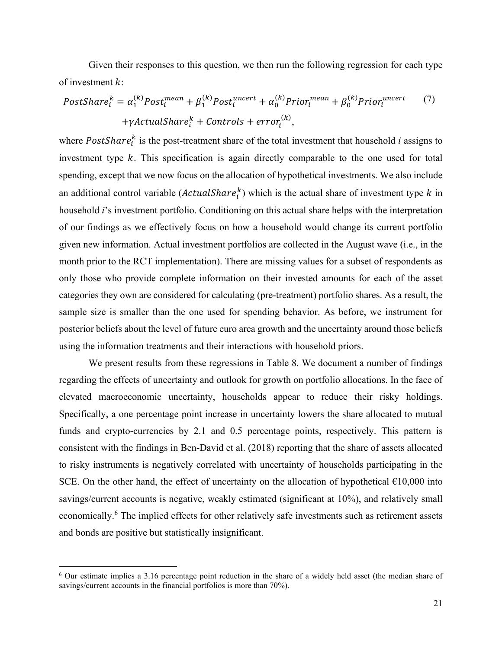Given their responses to this question, we then run the following regression for each type of investment  $k$ :

$$
PostShare_i^k = \alpha_1^{(k)}Post_i^{mean} + \beta_1^{(k)}Post_i^{uncert} + \alpha_0^{(k)} Prior_i^{mean} + \beta_0^{(k)} Prior_i^{uncert}
$$
 (7)  
+ $\gamma$ ActualShare\_i^k + Controls + error\_i^{(k)},

where  $PostShare_i^k$  is the post-treatment share of the total investment that household *i* assigns to investment type  $k$ . This specification is again directly comparable to the one used for total spending, except that we now focus on the allocation of hypothetical investments. We also include an additional control variable  $(ActualShare<sub>i</sub><sup>k</sup>)$  which is the actual share of investment type k in household *i*'s investment portfolio. Conditioning on this actual share helps with the interpretation of our findings as we effectively focus on how a household would change its current portfolio given new information. Actual investment portfolios are collected in the August wave (i.e., in the month prior to the RCT implementation). There are missing values for a subset of respondents as only those who provide complete information on their invested amounts for each of the asset categories they own are considered for calculating (pre-treatment) portfolio shares. As a result, the sample size is smaller than the one used for spending behavior. As before, we instrument for posterior beliefs about the level of future euro area growth and the uncertainty around those beliefs using the information treatments and their interactions with household priors.

We present results from these regressions in [Table 8.](#page-38-0) We document a number of findings regarding the effects of uncertainty and outlook for growth on portfolio allocations. In the face of elevated macroeconomic uncertainty, households appear to reduce their risky holdings. Specifically, a one percentage point increase in uncertainty lowers the share allocated to mutual funds and crypto-currencies by 2.1 and 0.5 percentage points, respectively. This pattern is consistent with the findings in Ben-David et al. (2018) reporting that the share of assets allocated to risky instruments is negatively correlated with uncertainty of households participating in the SCE. On the other hand, the effect of uncertainty on the allocation of hypothetical  $\epsilon$ 10,000 into savings/current accounts is negative, weakly estimated (significant at 10%), and relatively small economically.<sup>6</sup> The implied effects for other relatively safe investments such as retirement assets and bonds are positive but statistically insignificant.

<sup>6</sup> Our estimate implies a 3.16 percentage point reduction in the share of a widely held asset (the median share of savings/current accounts in the financial portfolios is more than 70%).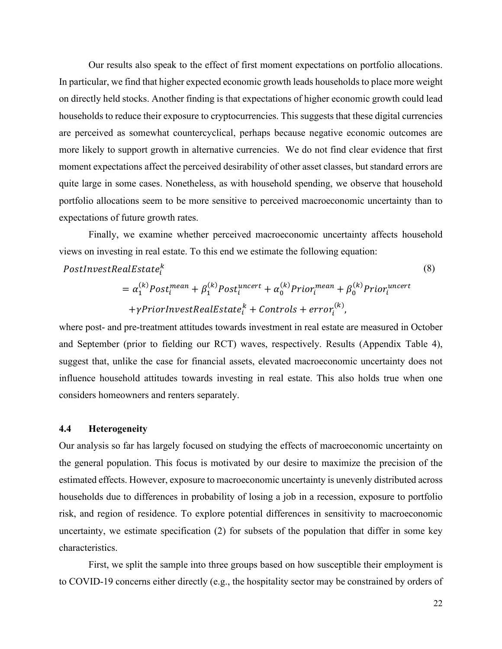Our results also speak to the effect of first moment expectations on portfolio allocations. In particular, we find that higher expected economic growth leads households to place more weight on directly held stocks. Another finding is that expectations of higher economic growth could lead households to reduce their exposure to cryptocurrencies. This suggests that these digital currencies are perceived as somewhat countercyclical, perhaps because negative economic outcomes are more likely to support growth in alternative currencies. We do not find clear evidence that first moment expectations affect the perceived desirability of other asset classes, but standard errors are quite large in some cases. Nonetheless, as with household spending, we observe that household portfolio allocations seem to be more sensitive to perceived macroeconomic uncertainty than to expectations of future growth rates.

Finally, we examine whether perceived macroeconomic uncertainty affects household views on investing in real estate. To this end we estimate the following equation:

# $\mathit{PostInvestRealEstate}^{\kappa}_{i}$

$$
= \alpha_1^{(k)} Post_i^{mean} + \beta_1^{(k)} Post_i^{uncert} + \alpha_0^{(k)} Prior_i^{mean} + \beta_0^{(k)} Prior_i^{uncert}
$$
  
+ $\gamma PriorInvestRealEstate_i^k + Controls + error_i^{(k)}$ ,

where post- and pre-treatment attitudes towards investment in real estate are measured in October and September (prior to fielding our RCT) waves, respectively. Results (Appendix Table 4), suggest that, unlike the case for financial assets, elevated macroeconomic uncertainty does not influence household attitudes towards investing in real estate. This also holds true when one considers homeowners and renters separately.

#### **4.4 Heterogeneity**

Our analysis so far has largely focused on studying the effects of macroeconomic uncertainty on the general population. This focus is motivated by our desire to maximize the precision of the estimated effects. However, exposure to macroeconomic uncertainty is unevenly distributed across households due to differences in probability of losing a job in a recession, exposure to portfolio risk, and region of residence. To explore potential differences in sensitivity to macroeconomic uncertainty, we estimate specification (2) for subsets of the population that differ in some key characteristics.

First, we split the sample into three groups based on how susceptible their employment is to COVID-19 concerns either directly (e.g., the hospitality sector may be constrained by orders of

(8)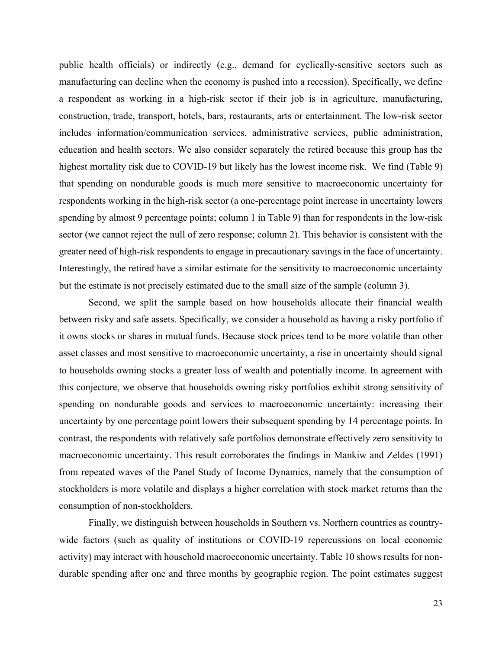public health officials) or indirectly (e.g., demand for cyclically-sensitive sectors such as manufacturing can decline when the economy is pushed into a recession). Specifically, we define a respondent as working in a high-risk sector if their job is in agriculture, manufacturing, construction, trade, transport, hotels, bars, restaurants, arts or entertainment. The low-risk sector includes information/communication services, administrative services, public administration, education and health sectors. We also consider separately the retired because this group has the highest mortality risk due to COVID-19 but likely has the lowest income risk. We find [\(Table 9\)](#page-39-0) that spending on nondurable goods is much more sensitive to macroeconomic uncertainty for respondents working in the high-risk sector (a one-percentage point increase in uncertainty lowers spending by almost 9 percentage points; column 1 in [Table 9\)](#page-39-0) than for respondents in the low-risk sector (we cannot reject the null of zero response; column 2). This behavior is consistent with the greater need of high-risk respondents to engage in precautionary savings in the face of uncertainty. Interestingly, the retired have a similar estimate for the sensitivity to macroeconomic uncertainty but the estimate is not precisely estimated due to the small size of the sample (column 3).

Second, we split the sample based on how households allocate their financial wealth between risky and safe assets. Specifically, we consider a household as having a risky portfolio if it owns stocks or shares in mutual funds. Because stock prices tend to be more volatile than other asset classes and most sensitive to macroeconomic uncertainty, a rise in uncertainty should signal to households owning stocks a greater loss of wealth and potentially income. In agreement with this conjecture, we observe that households owning risky portfolios exhibit strong sensitivity of spending on nondurable goods and services to macroeconomic uncertainty: increasing their uncertainty by one percentage point lowers their subsequent spending by 14 percentage points. In contrast, the respondents with relatively safe portfolios demonstrate effectively zero sensitivity to macroeconomic uncertainty. This result corroborates the findings in Mankiw and Zeldes (1991) from repeated waves of the Panel Study of Income Dynamics, namely that the consumption of stockholders is more volatile and displays a higher correlation with stock market returns than the consumption of non-stockholders.

Finally, we distinguish between households in Southern vs. Northern countries as countrywide factors (such as quality of institutions or COVID-19 repercussions on local economic activity) may interact with household macroeconomic uncertainty. Table 10 shows results for nondurable spending after one and three months by geographic region. The point estimates suggest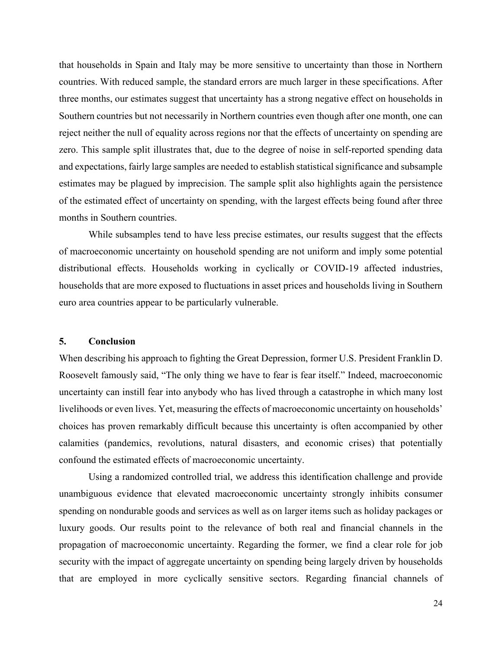that households in Spain and Italy may be more sensitive to uncertainty than those in Northern countries. With reduced sample, the standard errors are much larger in these specifications. After three months, our estimates suggest that uncertainty has a strong negative effect on households in Southern countries but not necessarily in Northern countries even though after one month, one can reject neither the null of equality across regions nor that the effects of uncertainty on spending are zero. This sample split illustrates that, due to the degree of noise in self-reported spending data and expectations, fairly large samples are needed to establish statistical significance and subsample estimates may be plagued by imprecision. The sample split also highlights again the persistence of the estimated effect of uncertainty on spending, with the largest effects being found after three months in Southern countries.

While subsamples tend to have less precise estimates, our results suggest that the effects of macroeconomic uncertainty on household spending are not uniform and imply some potential distributional effects. Households working in cyclically or COVID-19 affected industries, households that are more exposed to fluctuations in asset prices and households living in Southern euro area countries appear to be particularly vulnerable.

#### **5. Conclusion**

When describing his approach to fighting the Great Depression, former U.S. President Franklin D. Roosevelt famously said, "The only thing we have to fear is fear itself." Indeed, macroeconomic uncertainty can instill fear into anybody who has lived through a catastrophe in which many lost livelihoods or even lives. Yet, measuring the effects of macroeconomic uncertainty on households' choices has proven remarkably difficult because this uncertainty is often accompanied by other calamities (pandemics, revolutions, natural disasters, and economic crises) that potentially confound the estimated effects of macroeconomic uncertainty.

Using a randomized controlled trial, we address this identification challenge and provide unambiguous evidence that elevated macroeconomic uncertainty strongly inhibits consumer spending on nondurable goods and services as well as on larger items such as holiday packages or luxury goods. Our results point to the relevance of both real and financial channels in the propagation of macroeconomic uncertainty. Regarding the former, we find a clear role for job security with the impact of aggregate uncertainty on spending being largely driven by households that are employed in more cyclically sensitive sectors. Regarding financial channels of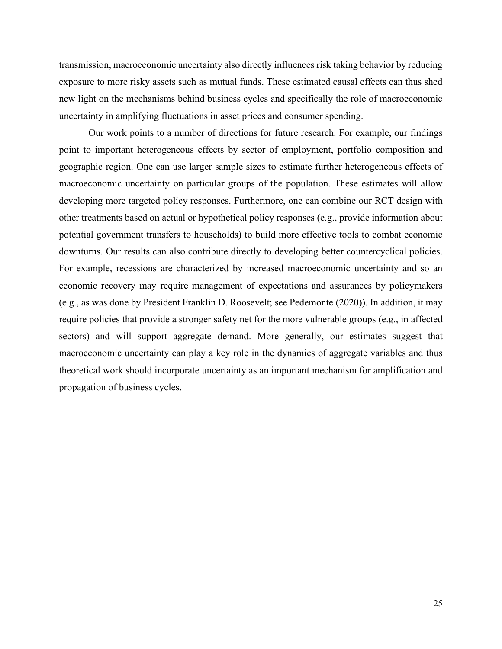transmission, macroeconomic uncertainty also directly influences risk taking behavior by reducing exposure to more risky assets such as mutual funds. These estimated causal effects can thus shed new light on the mechanisms behind business cycles and specifically the role of macroeconomic uncertainty in amplifying fluctuations in asset prices and consumer spending.

Our work points to a number of directions for future research. For example, our findings point to important heterogeneous effects by sector of employment, portfolio composition and geographic region. One can use larger sample sizes to estimate further heterogeneous effects of macroeconomic uncertainty on particular groups of the population. These estimates will allow developing more targeted policy responses. Furthermore, one can combine our RCT design with other treatments based on actual or hypothetical policy responses (e.g., provide information about potential government transfers to households) to build more effective tools to combat economic downturns. Our results can also contribute directly to developing better countercyclical policies. For example, recessions are characterized by increased macroeconomic uncertainty and so an economic recovery may require management of expectations and assurances by policymakers (e.g., as was done by President Franklin D. Roosevelt; see Pedemonte (2020)). In addition, it may require policies that provide a stronger safety net for the more vulnerable groups (e.g., in affected sectors) and will support aggregate demand. More generally, our estimates suggest that macroeconomic uncertainty can play a key role in the dynamics of aggregate variables and thus theoretical work should incorporate uncertainty as an important mechanism for amplification and propagation of business cycles.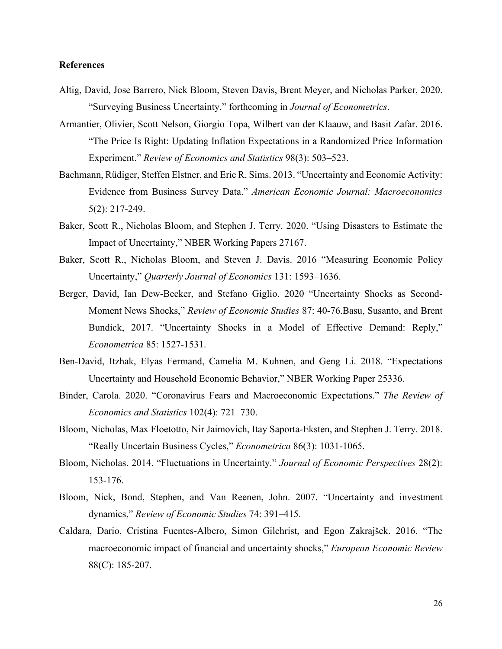#### **References**

- Altig, David, Jose Barrero, Nick Bloom, Steven Davis, Brent Meyer, and Nicholas Parker, 2020. "Surveying Business Uncertainty." forthcoming in *Journal of Econometrics*.
- Armantier, Olivier, Scott Nelson, Giorgio Topa, Wilbert van der Klaauw, and Basit Zafar. 2016. "The Price Is Right: Updating Inflation Expectations in a Randomized Price Information Experiment." *Review of Economics and Statistics* 98(3): 503–523.
- Bachmann, Rüdiger, Steffen Elstner, and Eric R. Sims. 2013. "Uncertainty and Economic Activity: Evidence from Business Survey Data." *American Economic Journal: Macroeconomics*  5(2): 217-249.
- Baker, Scott R., Nicholas Bloom, and Stephen J. Terry. 2020. "Using Disasters to Estimate the Impact of Uncertainty," NBER Working Papers 27167.
- Baker, Scott R., Nicholas Bloom, and Steven J. Davis. 2016 "Measuring Economic Policy Uncertainty," *Quarterly Journal of Economics* 131: 1593–1636.
- Berger, David, Ian Dew-Becker, and Stefano Giglio. 2020 "Uncertainty Shocks as Second-Moment News Shocks," *Review of Economic Studies* 87: 40-76.Basu, Susanto, and Brent Bundick, 2017. "Uncertainty Shocks in a Model of Effective Demand: Reply," *Econometrica* 85: 1527-1531.
- Ben-David, Itzhak, Elyas Fermand, Camelia M. Kuhnen, and Geng Li. 2018. "Expectations Uncertainty and Household Economic Behavior," NBER Working Paper 25336.
- Binder, Carola. 2020. "Coronavirus Fears and Macroeconomic Expectations." *The Review of Economics and Statistics* 102(4): 721–730.
- Bloom, Nicholas, Max Floetotto, Nir Jaimovich, Itay Saporta-Eksten, and Stephen J. Terry. 2018. "Really Uncertain Business Cycles," *Econometrica* 86(3): 1031-1065.
- Bloom, Nicholas. 2014. "Fluctuations in Uncertainty." *Journal of Economic Perspectives* 28(2): 153-176.
- Bloom, Nick, Bond, Stephen, and Van Reenen, John. 2007. "Uncertainty and investment dynamics," *Review of Economic Studies* 74: 391–415.
- Caldara, Dario, Cristina Fuentes-Albero, Simon Gilchrist, and Egon Zakrajšek. 2016. "The macroeconomic impact of financial and uncertainty shocks," *European Economic Review* 88(C): 185-207.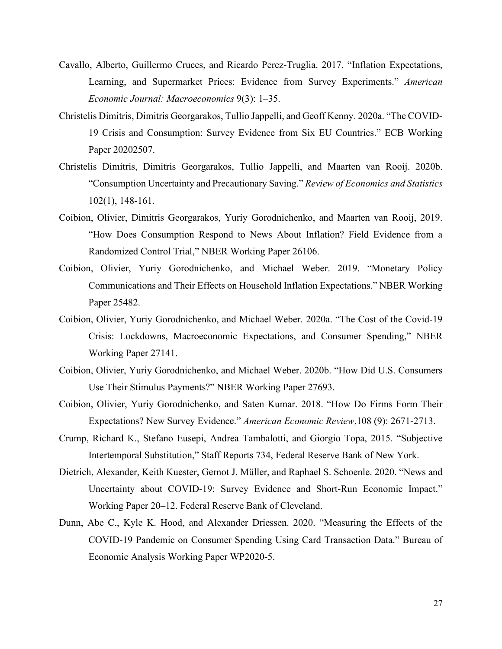- Cavallo, Alberto, Guillermo Cruces, and Ricardo Perez-Truglia. 2017. "Inflation Expectations, Learning, and Supermarket Prices: Evidence from Survey Experiments." *American Economic Journal: Macroeconomics* 9(3): 1–35.
- Christelis Dimitris, Dimitris Georgarakos, Tullio Jappelli, and Geoff Kenny. 2020a. "The COVID-19 Crisis and Consumption: Survey Evidence from Six EU Countries." ECB Working Paper 20202507.
- Christelis Dimitris, Dimitris Georgarakos, Tullio Jappelli, and Maarten van Rooij. 2020b. "Consumption Uncertainty and Precautionary Saving." *Review of Economics and Statistics* 102(1), 148-161.
- Coibion, Olivier, Dimitris Georgarakos, Yuriy Gorodnichenko, and Maarten van Rooij, 2019. "How Does Consumption Respond to News About Inflation? Field Evidence from a Randomized Control Trial," NBER Working Paper 26106.
- Coibion, Olivier, Yuriy Gorodnichenko, and Michael Weber. 2019. "Monetary Policy Communications and Their Effects on Household Inflation Expectations." NBER Working Paper 25482.
- Coibion, Olivier, Yuriy Gorodnichenko, and Michael Weber. 2020a. "The Cost of the Covid-19 Crisis: Lockdowns, Macroeconomic Expectations, and Consumer Spending," NBER Working Paper 27141.
- Coibion, Olivier, Yuriy Gorodnichenko, and Michael Weber. 2020b. "How Did U.S. Consumers Use Their Stimulus Payments?" NBER Working Paper 27693.
- Coibion, Olivier, Yuriy Gorodnichenko, and Saten Kumar. 2018. "How Do Firms Form Their Expectations? New Survey Evidence." *American Economic Review*,108 (9): 2671-2713.
- Crump, Richard K., Stefano Eusepi, Andrea Tambalotti, and Giorgio Topa, 2015. "Subjective Intertemporal Substitution," Staff Reports 734, Federal Reserve Bank of New York.
- Dietrich, Alexander, Keith Kuester, Gernot J. Müller, and Raphael S. Schoenle. 2020. "News and Uncertainty about COVID-19: Survey Evidence and Short-Run Economic Impact." Working Paper 20–12. Federal Reserve Bank of Cleveland.
- Dunn, Abe C., Kyle K. Hood, and Alexander Driessen. 2020. "Measuring the Effects of the COVID-19 Pandemic on Consumer Spending Using Card Transaction Data." Bureau of Economic Analysis Working Paper WP2020-5.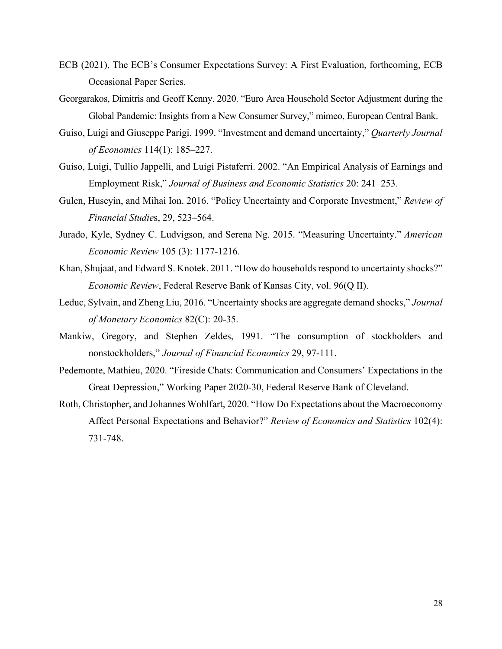- ECB (2021), The ECB's Consumer Expectations Survey: A First Evaluation, forthcoming, ECB Occasional Paper Series.
- Georgarakos, Dimitris and Geoff Kenny. 2020. "Euro Area Household Sector Adjustment during the Global Pandemic: Insights from a New Consumer Survey," mimeo, European Central Bank.
- Guiso, Luigi and Giuseppe Parigi. 1999. "Investment and demand uncertainty," *Quarterly Journal of Economics* 114(1): 185–227.
- Guiso, Luigi, Tullio Jappelli, and Luigi Pistaferri. 2002. "An Empirical Analysis of Earnings and Employment Risk," *Journal of Business and Economic Statistics* 20: 241–253.
- Gulen, Huseyin, and Mihai Ion. 2016. "Policy Uncertainty and Corporate Investment," *Review of Financial Studie*s, 29, 523–564.
- Jurado, Kyle, Sydney C. Ludvigson, and Serena Ng. 2015. "Measuring Uncertainty." *American Economic Review* 105 (3): 1177-1216.
- Khan, Shujaat, and Edward S. Knotek. 2011. "How do households respond to uncertainty shocks?" *Economic Review*, Federal Reserve Bank of Kansas City, vol. 96(Q II).
- Leduc, Sylvain, and Zheng Liu, 2016. "Uncertainty shocks are aggregate demand shocks," *Journal of Monetary Economics* 82(C): 20-35.
- Mankiw, Gregory, and Stephen Zeldes, 1991. "The consumption of stockholders and nonstockholders," *Journal of Financial Economics* 29, 97-111.
- Pedemonte, Mathieu, 2020. "Fireside Chats: Communication and Consumers' Expectations in the Great Depression," Working Paper 2020-30, Federal Reserve Bank of Cleveland.
- Roth, Christopher, and Johannes Wohlfart, 2020. "How Do Expectations about the Macroeconomy Affect Personal Expectations and Behavior?" *Review of Economics and Statistics* 102(4): 731-748.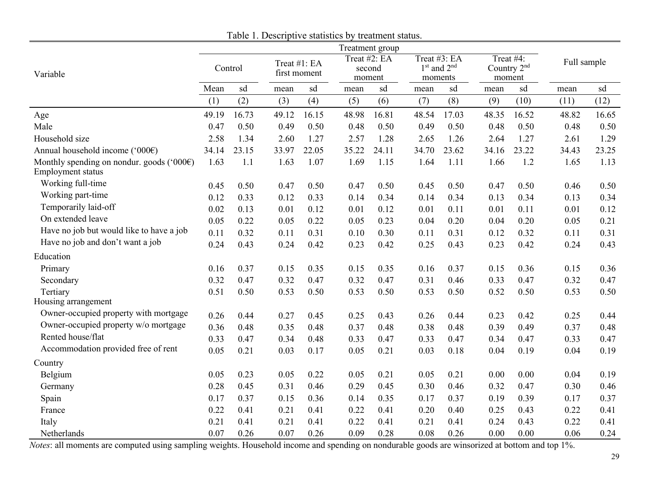<span id="page-31-0"></span>

|                                                                |         |       |       |                              |        | Treatment group        |                                            |       |       |                                                |             |       |
|----------------------------------------------------------------|---------|-------|-------|------------------------------|--------|------------------------|--------------------------------------------|-------|-------|------------------------------------------------|-------------|-------|
| Variable                                                       | Control |       |       | Treat #1: EA<br>first moment | moment | Treat #2: EA<br>second | Treat #3: EA<br>$1st$ and $2nd$<br>moments |       |       | Treat #4:<br>Country 2 <sup>nd</sup><br>moment | Full sample |       |
|                                                                | Mean    | sd    | mean  | sd                           | mean   | sd                     | mean                                       | sd    | mean  | sd                                             | mean        | sd    |
|                                                                | (1)     | (2)   | (3)   | (4)                          | (5)    | (6)                    | (7)                                        | (8)   | (9)   | (10)                                           | (11)        | (12)  |
| Age                                                            | 49.19   | 16.73 | 49.12 | 16.15                        | 48.98  | 16.81                  | 48.54                                      | 17.03 | 48.35 | 16.52                                          | 48.82       | 16.65 |
| Male                                                           | 0.47    | 0.50  | 0.49  | 0.50                         | 0.48   | 0.50                   | 0.49                                       | 0.50  | 0.48  | 0.50                                           | 0.48        | 0.50  |
| Household size                                                 | 2.58    | 1.34  | 2.60  | 1.27                         | 2.57   | 1.28                   | 2.65                                       | 1.26  | 2.64  | 1.27                                           | 2.61        | 1.29  |
| Annual household income ('000€)                                | 34.14   | 23.15 | 33.97 | 22.05                        | 35.22  | 24.11                  | 34.70                                      | 23.62 | 34.16 | 23.22                                          | 34.43       | 23.25 |
| Monthly spending on nondur. goods ('000€)<br>Employment status | 1.63    | 1.1   | 1.63  | 1.07                         | 1.69   | 1.15                   | 1.64                                       | 1.11  | 1.66  | 1.2                                            | 1.65        | 1.13  |
| Working full-time                                              | 0.45    | 0.50  | 0.47  | 0.50                         | 0.47   | 0.50                   | 0.45                                       | 0.50  | 0.47  | 0.50                                           | 0.46        | 0.50  |
| Working part-time                                              | 0.12    | 0.33  | 0.12  | 0.33                         | 0.14   | 0.34                   | 0.14                                       | 0.34  | 0.13  | 0.34                                           | 0.13        | 0.34  |
| Temporarily laid-off                                           | 0.02    | 0.13  | 0.01  | 0.12                         | 0.01   | 0.12                   | 0.01                                       | 0.11  | 0.01  | 0.11                                           | 0.01        | 0.12  |
| On extended leave                                              | 0.05    | 0.22  | 0.05  | 0.22                         | 0.05   | 0.23                   | 0.04                                       | 0.20  | 0.04  | 0.20                                           | 0.05        | 0.21  |
| Have no job but would like to have a job                       | 0.11    | 0.32  | 0.11  | 0.31                         | 0.10   | 0.30                   | 0.11                                       | 0.31  | 0.12  | 0.32                                           | 0.11        | 0.31  |
| Have no job and don't want a job                               | 0.24    | 0.43  | 0.24  | 0.42                         | 0.23   | 0.42                   | 0.25                                       | 0.43  | 0.23  | 0.42                                           | 0.24        | 0.43  |
| Education                                                      |         |       |       |                              |        |                        |                                            |       |       |                                                |             |       |
| Primary                                                        | 0.16    | 0.37  | 0.15  | 0.35                         | 0.15   | 0.35                   | 0.16                                       | 0.37  | 0.15  | 0.36                                           | 0.15        | 0.36  |
| Secondary                                                      | 0.32    | 0.47  | 0.32  | 0.47                         | 0.32   | 0.47                   | 0.31                                       | 0.46  | 0.33  | 0.47                                           | 0.32        | 0.47  |
| Tertiary<br>Housing arrangement                                | 0.51    | 0.50  | 0.53  | 0.50                         | 0.53   | 0.50                   | 0.53                                       | 0.50  | 0.52  | 0.50                                           | 0.53        | 0.50  |
| Owner-occupied property with mortgage                          | 0.26    | 0.44  | 0.27  | 0.45                         | 0.25   | 0.43                   | 0.26                                       | 0.44  | 0.23  | 0.42                                           | 0.25        | 0.44  |
| Owner-occupied property w/o mortgage                           | 0.36    | 0.48  | 0.35  | 0.48                         | 0.37   | 0.48                   | 0.38                                       | 0.48  | 0.39  | 0.49                                           | 0.37        | 0.48  |
| Rented house/flat                                              | 0.33    | 0.47  | 0.34  | 0.48                         | 0.33   | 0.47                   | 0.33                                       | 0.47  | 0.34  | 0.47                                           | 0.33        | 0.47  |
| Accommodation provided free of rent                            | 0.05    | 0.21  | 0.03  | 0.17                         | 0.05   | 0.21                   | 0.03                                       | 0.18  | 0.04  | 0.19                                           | 0.04        | 0.19  |
| Country                                                        |         |       |       |                              |        |                        |                                            |       |       |                                                |             |       |
| Belgium                                                        | 0.05    | 0.23  | 0.05  | 0.22                         | 0.05   | 0.21                   | 0.05                                       | 0.21  | 0.00  | 0.00                                           | 0.04        | 0.19  |
| Germany                                                        | 0.28    | 0.45  | 0.31  | 0.46                         | 0.29   | 0.45                   | 0.30                                       | 0.46  | 0.32  | 0.47                                           | 0.30        | 0.46  |
| Spain                                                          | 0.17    | 0.37  | 0.15  | 0.36                         | 0.14   | 0.35                   | 0.17                                       | 0.37  | 0.19  | 0.39                                           | 0.17        | 0.37  |
| France                                                         | 0.22    | 0.41  | 0.21  | 0.41                         | 0.22   | 0.41                   | 0.20                                       | 0.40  | 0.25  | 0.43                                           | 0.22        | 0.41  |
| Italy                                                          | 0.21    | 0.41  | 0.21  | 0.41                         | 0.22   | 0.41                   | 0.21                                       | 0.41  | 0.24  | 0.43                                           | 0.22        | 0.41  |
| Netherlands                                                    | 0.07    | 0.26  | 0.07  | 0.26                         | 0.09   | 0.28                   | 0.08                                       | 0.26  | 0.00  | 0.00                                           | 0.06        | 0.24  |

Table 1. Descriptive statistics by treatment status.

*Notes*: all moments are computed using sampling weights. Household income and spending on nondurable goods are winsorized at bottom and top 1%.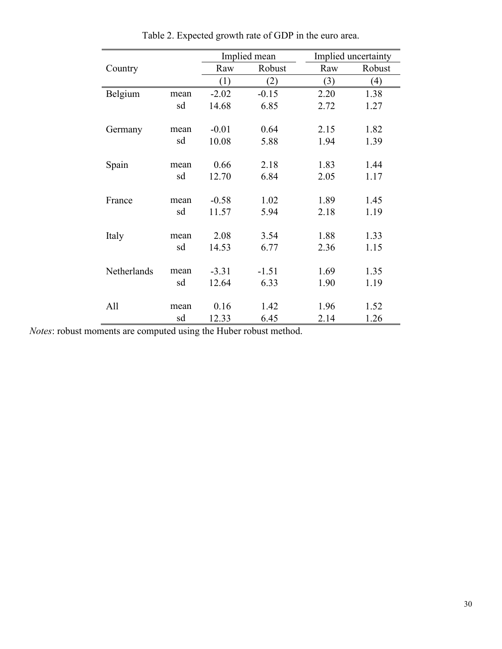<span id="page-32-0"></span>

|             |      |         | Implied mean |      | Implied uncertainty |
|-------------|------|---------|--------------|------|---------------------|
| Country     |      | Raw     | Robust       | Raw  | Robust              |
|             |      | (1)     | (2)          | (3)  | (4)                 |
| Belgium     | mean | $-2.02$ | $-0.15$      | 2.20 | 1.38                |
|             | sd   | 14.68   | 6.85         | 2.72 | 1.27                |
|             |      |         |              |      |                     |
| Germany     | mean | $-0.01$ | 0.64         | 2.15 | 1.82                |
|             | sd   | 10.08   | 5.88         | 1.94 | 1.39                |
| Spain       | mean | 0.66    | 2.18         | 1.83 | 1.44                |
|             | sd   | 12.70   | 6.84         | 2.05 | 1.17                |
|             |      |         |              |      |                     |
| France      | mean | $-0.58$ | 1.02         | 1.89 | 1.45                |
|             | sd   | 11.57   | 5.94         | 2.18 | 1.19                |
|             |      |         |              |      |                     |
| Italy       | mean | 2.08    | 3.54         | 1.88 | 1.33                |
|             | sd   | 14.53   | 6.77         | 2.36 | 1.15                |
| Netherlands | mean | $-3.31$ | $-1.51$      | 1.69 | 1.35                |
|             | sd   | 12.64   | 6.33         | 1.90 | 1.19                |
|             |      |         |              |      |                     |
| All         | mean | 0.16    | 1.42         | 1.96 | 1.52                |
|             | sd   | 12.33   | 6.45         | 2.14 | 1.26                |

Table 2. Expected growth rate of GDP in the euro area.

*Notes*: robust moments are computed using the Huber robust method.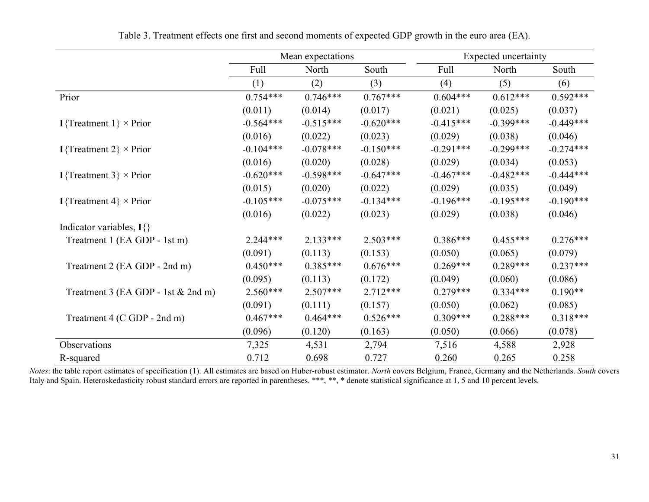<span id="page-33-0"></span>

|                                       | Mean expectations |             |             |             | <b>Expected uncertainty</b> |             |
|---------------------------------------|-------------------|-------------|-------------|-------------|-----------------------------|-------------|
|                                       | Full              | North       | South       | Full        | North                       | South       |
|                                       | (1)               | (2)         | (3)         | (4)         | (5)                         | (6)         |
| Prior                                 | $0.754***$        | $0.746***$  | $0.767***$  | $0.604***$  | $0.612***$                  | $0.592***$  |
|                                       | (0.011)           | (0.014)     | (0.017)     | (0.021)     | (0.025)                     | (0.037)     |
| <b>I</b> {Treatment 1} $\times$ Prior | $-0.564***$       | $-0.515***$ | $-0.620***$ | $-0.415***$ | $-0.399***$                 | $-0.449***$ |
|                                       | (0.016)           | (0.022)     | (0.023)     | (0.029)     | (0.038)                     | (0.046)     |
| I{Treatment 2} $\times$ Prior         | $-0.104***$       | $-0.078***$ | $-0.150***$ | $-0.291***$ | $-0.299***$                 | $-0.274***$ |
|                                       | (0.016)           | (0.020)     | (0.028)     | (0.029)     | (0.034)                     | (0.053)     |
| I{Treatment 3} $\times$ Prior         | $-0.620***$       | $-0.598***$ | $-0.647***$ | $-0.467***$ | $-0.482***$                 | $-0.444***$ |
|                                       | (0.015)           | (0.020)     | (0.022)     | (0.029)     | (0.035)                     | (0.049)     |
| I{Treatment 4} $\times$ Prior         | $-0.105***$       | $-0.075***$ | $-0.134***$ | $-0.196***$ | $-0.195***$                 | $-0.190***$ |
|                                       | (0.016)           | (0.022)     | (0.023)     | (0.029)     | (0.038)                     | (0.046)     |
| Indicator variables, $I\{\}$          |                   |             |             |             |                             |             |
| Treatment 1 (EA GDP - 1st m)          | $2.244***$        | $2.133***$  | $2.503***$  | $0.386***$  | $0.455***$                  | $0.276***$  |
|                                       | (0.091)           | (0.113)     | (0.153)     | (0.050)     | (0.065)                     | (0.079)     |
| Treatment 2 (EA GDP - 2nd m)          | $0.450***$        | $0.385***$  | $0.676***$  | $0.269***$  | $0.289***$                  | $0.237***$  |
|                                       | (0.095)           | (0.113)     | (0.172)     | (0.049)     | (0.060)                     | (0.086)     |
| Treatment 3 (EA GDP - 1st & 2nd m)    | $2.560***$        | $2.507***$  | $2.712***$  | $0.279***$  | $0.334***$                  | $0.190**$   |
|                                       | (0.091)           | (0.111)     | (0.157)     | (0.050)     | (0.062)                     | (0.085)     |
| Treatment 4 (C GDP - 2nd m)           | $0.467***$        | $0.464***$  | $0.526***$  | $0.309***$  | $0.288***$                  | $0.318***$  |
|                                       | (0.096)           | (0.120)     | (0.163)     | (0.050)     | (0.066)                     | (0.078)     |
| Observations                          | 7,325             | 4,531       | 2,794       | 7,516       | 4,588                       | 2,928       |
| R-squared                             | 0.712             | 0.698       | 0.727       | 0.260       | 0.265                       | 0.258       |

Table 3. Treatment effects one first and second moments of expected GDP growth in the euro area (EA).

*Notes*: the table report estimates of specification (1). All estimates are based on Huber-robust estimator. *North* covers Belgium, France, Germany and the Netherlands. *South* covers Italy and Spain. Heteroskedasticity robust standard errors are reported in parentheses. \*\*\*, \*\*, \* denote statistical significance at 1, 5 and 10 percent levels.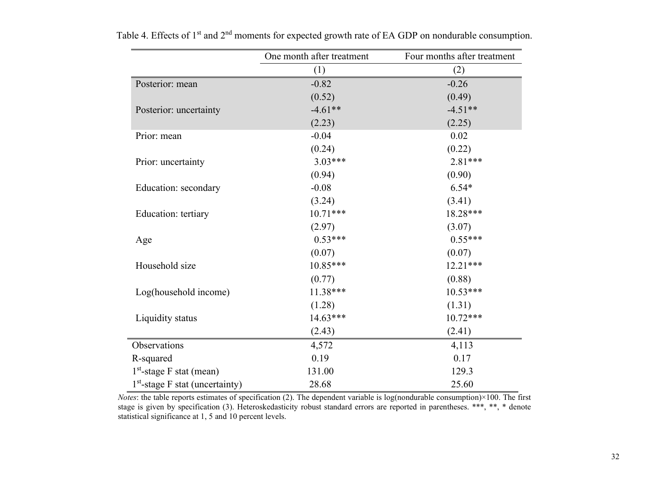<span id="page-34-0"></span>

|                                             | One month after treatment | Four months after treatment |
|---------------------------------------------|---------------------------|-----------------------------|
|                                             | (1)                       | (2)                         |
| Posterior: mean                             | $-0.82$                   | $-0.26$                     |
|                                             | (0.52)                    | (0.49)                      |
| Posterior: uncertainty                      | $-4.61**$                 | $-4.51**$                   |
|                                             | (2.23)                    | (2.25)                      |
| Prior: mean                                 | $-0.04$                   | 0.02                        |
|                                             | (0.24)                    | (0.22)                      |
| Prior: uncertainty                          | $3.03***$                 | $2.81***$                   |
|                                             | (0.94)                    | (0.90)                      |
| Education: secondary                        | $-0.08$                   | $6.54*$                     |
|                                             | (3.24)                    | (3.41)                      |
| Education: tertiary                         | $10.71***$                | 18.28***                    |
|                                             | (2.97)                    | (3.07)                      |
| Age                                         | $0.53***$                 | $0.55***$                   |
|                                             | (0.07)                    | (0.07)                      |
| Household size                              | $10.85***$                | 12.21***                    |
|                                             | (0.77)                    | (0.88)                      |
| Log(household income)                       | 11.38***                  | 10.53***                    |
|                                             | (1.28)                    | (1.31)                      |
| Liquidity status                            | $14.63***$                | $10.72***$                  |
|                                             | (2.43)                    | (2.41)                      |
| Observations                                | 4,572                     | 4,113                       |
| R-squared                                   | 0.19                      | 0.17                        |
| $1st$ -stage F stat (mean)                  | 131.00                    | 129.3                       |
| 1 <sup>st</sup> -stage F stat (uncertainty) | 28.68                     | 25.60                       |

Table 4. Effects of 1<sup>st</sup> and 2<sup>nd</sup> moments for expected growth rate of EA GDP on nondurable consumption.

*Notes*: the table reports estimates of specification (2). The dependent variable is log(nondurable consumption)×100. The first stage is given by specification (3). Heteroskedasticity robust standard errors are reported in parentheses. \*\*\*, \*\*, \* denote statistical significance at 1, 5 and 10 percent levels.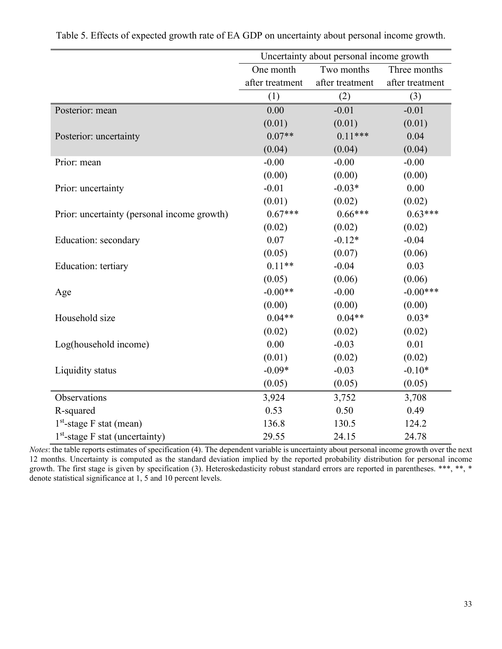<span id="page-35-0"></span>

|                                             | Uncertainty about personal income growth |                 |                 |  |  |
|---------------------------------------------|------------------------------------------|-----------------|-----------------|--|--|
|                                             | One month                                | Two months      | Three months    |  |  |
|                                             | after treatment                          | after treatment | after treatment |  |  |
|                                             | (1)                                      | (2)             | (3)             |  |  |
| Posterior: mean                             | 0.00                                     | $-0.01$         | $-0.01$         |  |  |
|                                             | (0.01)                                   | (0.01)          | (0.01)          |  |  |
| Posterior: uncertainty                      | $0.07**$                                 | $0.11***$       | 0.04            |  |  |
|                                             | (0.04)                                   | (0.04)          | (0.04)          |  |  |
| Prior: mean                                 | $-0.00$                                  | $-0.00$         | $-0.00$         |  |  |
|                                             | (0.00)                                   | (0.00)          | (0.00)          |  |  |
| Prior: uncertainty                          | $-0.01$                                  | $-0.03*$        | 0.00            |  |  |
|                                             | (0.01)                                   | (0.02)          | (0.02)          |  |  |
| Prior: uncertainty (personal income growth) | $0.67***$                                | $0.66***$       | $0.63***$       |  |  |
|                                             | (0.02)                                   | (0.02)          | (0.02)          |  |  |
| Education: secondary                        | 0.07                                     | $-0.12*$        | $-0.04$         |  |  |
|                                             | (0.05)                                   | (0.07)          | (0.06)          |  |  |
| Education: tertiary                         | $0.11**$                                 | $-0.04$         | 0.03            |  |  |
|                                             | (0.05)                                   | (0.06)          | (0.06)          |  |  |
| Age                                         | $-0.00**$                                | $-0.00$         | $-0.00***$      |  |  |
|                                             | (0.00)                                   | (0.00)          | (0.00)          |  |  |
| Household size                              | $0.04**$                                 | $0.04**$        | $0.03*$         |  |  |
|                                             | (0.02)                                   | (0.02)          | (0.02)          |  |  |
| Log(household income)                       | 0.00                                     | $-0.03$         | 0.01            |  |  |
|                                             | (0.01)                                   | (0.02)          | (0.02)          |  |  |
| Liquidity status                            | $-0.09*$                                 | $-0.03$         | $-0.10*$        |  |  |
|                                             | (0.05)                                   | (0.05)          | (0.05)          |  |  |
| Observations                                | 3,924                                    | 3,752           | 3,708           |  |  |
| R-squared                                   | 0.53                                     | 0.50            | 0.49            |  |  |
| $1st$ -stage F stat (mean)                  | 136.8                                    | 130.5           | 124.2           |  |  |
| $1st$ -stage F stat (uncertainty)           | 29.55                                    | 24.15           | 24.78           |  |  |

*Notes*: the table reports estimates of specification (4). The dependent variable is uncertainty about personal income growth over the next 12 months. Uncertainty is computed as the standard deviation implied by the reported probability distribution for personal income growth. The first stage is given by specification (3). Heteroskedasticity robust standard errors are reported in parentheses. \*\*\*, \*\*, \* denote statistical significance at 1, 5 and 10 percent levels.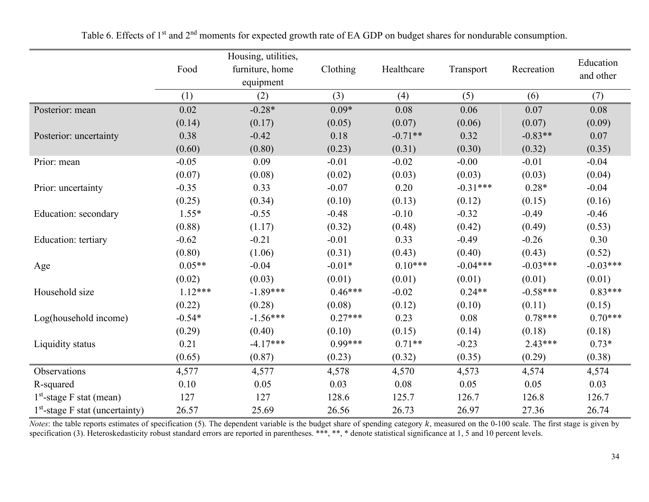<span id="page-36-0"></span>

|                                   |           | Housing, utilities, |           |            |            |            | Education  |
|-----------------------------------|-----------|---------------------|-----------|------------|------------|------------|------------|
|                                   | Food      | furniture, home     | Clothing  | Healthcare | Transport  | Recreation | and other  |
|                                   |           | equipment           |           |            |            |            |            |
|                                   | (1)       | (2)                 | (3)       | (4)        | (5)        | (6)        | (7)        |
| Posterior: mean                   | 0.02      | $-0.28*$            | $0.09*$   | 0.08       | 0.06       | 0.07       | 0.08       |
|                                   | (0.14)    | (0.17)              | (0.05)    | (0.07)     | (0.06)     | (0.07)     | (0.09)     |
| Posterior: uncertainty            | 0.38      | $-0.42$             | 0.18      | $-0.71**$  | 0.32       | $-0.83**$  | 0.07       |
|                                   | (0.60)    | (0.80)              | (0.23)    | (0.31)     | (0.30)     | (0.32)     | (0.35)     |
| Prior: mean                       | $-0.05$   | 0.09                | $-0.01$   | $-0.02$    | $-0.00$    | $-0.01$    | $-0.04$    |
|                                   | (0.07)    | (0.08)              | (0.02)    | (0.03)     | (0.03)     | (0.03)     | (0.04)     |
| Prior: uncertainty                | $-0.35$   | 0.33                | $-0.07$   | 0.20       | $-0.31***$ | $0.28*$    | $-0.04$    |
|                                   | (0.25)    | (0.34)              | (0.10)    | (0.13)     | (0.12)     | (0.15)     | (0.16)     |
| Education: secondary              | $1.55*$   | $-0.55$             | $-0.48$   | $-0.10$    | $-0.32$    | $-0.49$    | $-0.46$    |
|                                   | (0.88)    | (1.17)              | (0.32)    | (0.48)     | (0.42)     | (0.49)     | (0.53)     |
| Education: tertiary               | $-0.62$   | $-0.21$             | $-0.01$   | 0.33       | $-0.49$    | $-0.26$    | 0.30       |
|                                   | (0.80)    | (1.06)              | (0.31)    | (0.43)     | (0.40)     | (0.43)     | (0.52)     |
| Age                               | $0.05**$  | $-0.04$             | $-0.01*$  | $0.10***$  | $-0.04***$ | $-0.03***$ | $-0.03***$ |
|                                   | (0.02)    | (0.03)              | (0.01)    | (0.01)     | (0.01)     | (0.01)     | (0.01)     |
| Household size                    | $1.12***$ | $-1.89***$          | $0.46***$ | $-0.02$    | $0.24**$   | $-0.58***$ | $0.83***$  |
|                                   | (0.22)    | (0.28)              | (0.08)    | (0.12)     | (0.10)     | (0.11)     | (0.15)     |
| Log(household income)             | $-0.54*$  | $-1.56***$          | $0.27***$ | 0.23       | 0.08       | $0.78***$  | $0.70***$  |
|                                   | (0.29)    | (0.40)              | (0.10)    | (0.15)     | (0.14)     | (0.18)     | (0.18)     |
| Liquidity status                  | 0.21      | $-4.17***$          | $0.99***$ | $0.71**$   | $-0.23$    | $2.43***$  | $0.73*$    |
|                                   | (0.65)    | (0.87)              | (0.23)    | (0.32)     | (0.35)     | (0.29)     | (0.38)     |
| Observations                      | 4,577     | 4,577               | 4,578     | 4,570      | 4,573      | 4,574      | 4,574      |
| R-squared                         | 0.10      | 0.05                | 0.03      | 0.08       | 0.05       | 0.05       | 0.03       |
| $1st$ -stage F stat (mean)        | 127       | 127                 | 128.6     | 125.7      | 126.7      | 126.8      | 126.7      |
| $1st$ -stage F stat (uncertainty) | 26.57     | 25.69               | 26.56     | 26.73      | 26.97      | 27.36      | 26.74      |

Table 6. Effects of 1<sup>st</sup> and 2<sup>nd</sup> moments for expected growth rate of EA GDP on budget shares for nondurable consumption.

*Notes*: the table reports estimates of specification (5). The dependent variable is the budget share of spending category k, measured on the 0-100 scale. The first stage is given by specification (3). Heteroskedasticity robust standard errors are reported in parentheses. \*\*\*, \*\*, \* denote statistical significance at 1, 5 and 10 percent levels.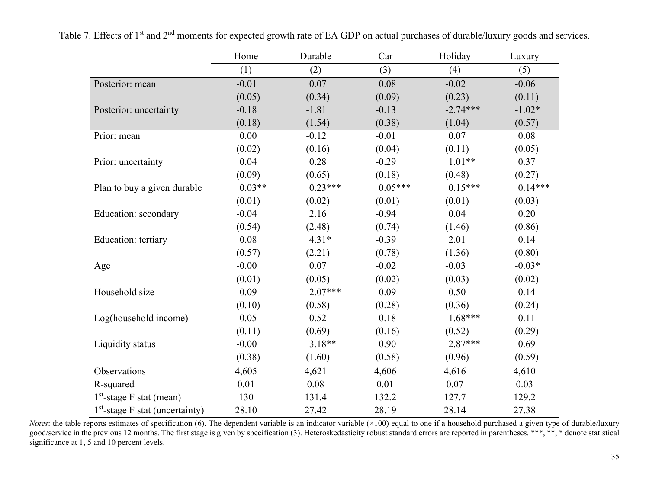<span id="page-37-0"></span>

|                                   | Home     | Durable   | Car       | Holiday    | Luxury    |
|-----------------------------------|----------|-----------|-----------|------------|-----------|
|                                   | (1)      | (2)       | (3)       | (4)        | (5)       |
| Posterior: mean                   | $-0.01$  | 0.07      | 0.08      | $-0.02$    | $-0.06$   |
|                                   | (0.05)   | (0.34)    | (0.09)    | (0.23)     | (0.11)    |
| Posterior: uncertainty            | $-0.18$  | $-1.81$   | $-0.13$   | $-2.74***$ | $-1.02*$  |
|                                   | (0.18)   | (1.54)    | (0.38)    | (1.04)     | (0.57)    |
| Prior: mean                       | 0.00     | $-0.12$   | $-0.01$   | 0.07       | 0.08      |
|                                   | (0.02)   | (0.16)    | (0.04)    | (0.11)     | (0.05)    |
| Prior: uncertainty                | 0.04     | 0.28      | $-0.29$   | $1.01**$   | 0.37      |
|                                   | (0.09)   | (0.65)    | (0.18)    | (0.48)     | (0.27)    |
| Plan to buy a given durable       | $0.03**$ | $0.23***$ | $0.05***$ | $0.15***$  | $0.14***$ |
|                                   | (0.01)   | (0.02)    | (0.01)    | (0.01)     | (0.03)    |
| Education: secondary              | $-0.04$  | 2.16      | $-0.94$   | 0.04       | 0.20      |
|                                   | (0.54)   | (2.48)    | (0.74)    | (1.46)     | (0.86)    |
| Education: tertiary               | 0.08     | $4.31*$   | $-0.39$   | 2.01       | 0.14      |
|                                   | (0.57)   | (2.21)    | (0.78)    | (1.36)     | (0.80)    |
| Age                               | $-0.00$  | 0.07      | $-0.02$   | $-0.03$    | $-0.03*$  |
|                                   | (0.01)   | (0.05)    | (0.02)    | (0.03)     | (0.02)    |
| Household size                    | 0.09     | $2.07***$ | 0.09      | $-0.50$    | 0.14      |
|                                   | (0.10)   | (0.58)    | (0.28)    | (0.36)     | (0.24)    |
| Log(household income)             | 0.05     | 0.52      | 0.18      | $1.68***$  | 0.11      |
|                                   | (0.11)   | (0.69)    | (0.16)    | (0.52)     | (0.29)    |
| Liquidity status                  | $-0.00$  | $3.18**$  | 0.90      | $2.87***$  | 0.69      |
|                                   | (0.38)   | (1.60)    | (0.58)    | (0.96)     | (0.59)    |
| Observations                      | 4,605    | 4,621     | 4,606     | 4,616      | 4,610     |
| R-squared                         | 0.01     | 0.08      | 0.01      | 0.07       | 0.03      |
| $1st$ -stage F stat (mean)        | 130      | 131.4     | 132.2     | 127.7      | 129.2     |
| $1st$ -stage F stat (uncertainty) | 28.10    | 27.42     | 28.19     | 28.14      | 27.38     |

Table 7. Effects of 1<sup>st</sup> and 2<sup>nd</sup> moments for expected growth rate of EA GDP on actual purchases of durable/luxury goods and services.

*Notes*: the table reports estimates of specification (6). The dependent variable is an indicator variable (×100) equal to one if a household purchased a given type of durable/luxury good/service in the previous 12 months. The first stage is given by specification (3). Heteroskedasticity robust standard errors are reported in parentheses. \*\*\*, \*\*, \* denote statistical significance at 1, 5 and 10 percent levels.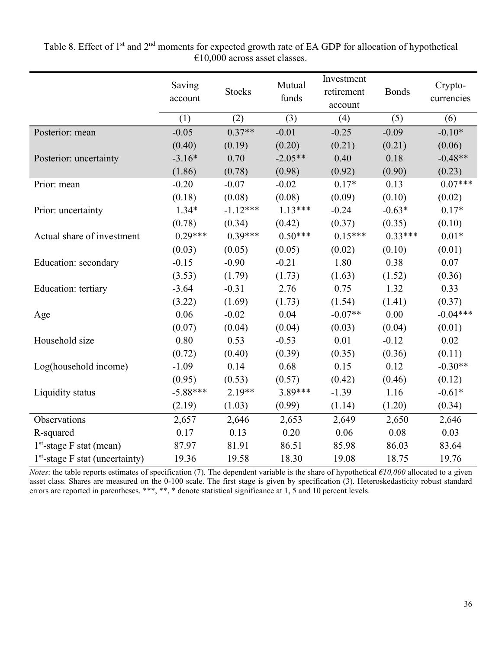|                                   | Saving<br>account | <b>Stocks</b> | Mutual<br>funds | Investment<br>retirement<br>account | <b>Bonds</b> | Crypto-<br>currencies |
|-----------------------------------|-------------------|---------------|-----------------|-------------------------------------|--------------|-----------------------|
|                                   | (1)               | (2)           | (3)             | (4)                                 | (5)          | (6)                   |
| Posterior: mean                   | $-0.05$           | $0.37**$      | $-0.01$         | $-0.25$                             | $-0.09$      | $-0.10*$              |
|                                   | (0.40)            | (0.19)        | (0.20)          | (0.21)                              | (0.21)       | (0.06)                |
| Posterior: uncertainty            | $-3.16*$          | 0.70          | $-2.05**$       | 0.40                                | 0.18         | $-0.48**$             |
|                                   | (1.86)            | (0.78)        | (0.98)          | (0.92)                              | (0.90)       | (0.23)                |
| Prior: mean                       | $-0.20$           | $-0.07$       | $-0.02$         | $0.17*$                             | 0.13         | $0.07***$             |
|                                   | (0.18)            | (0.08)        | (0.08)          | (0.09)                              | (0.10)       | (0.02)                |
| Prior: uncertainty                | $1.34*$           | $-1.12***$    | $1.13***$       | $-0.24$                             | $-0.63*$     | $0.17*$               |
|                                   | (0.78)            | (0.34)        | (0.42)          | (0.37)                              | (0.35)       | (0.10)                |
| Actual share of investment        | $0.29***$         | $0.39***$     | $0.50***$       | $0.15***$                           | $0.33***$    | $0.01*$               |
|                                   | (0.03)            | (0.05)        | (0.05)          | (0.02)                              | (0.10)       | (0.01)                |
| Education: secondary              | $-0.15$           | $-0.90$       | $-0.21$         | 1.80                                | 0.38         | 0.07                  |
|                                   | (3.53)            | (1.79)        | (1.73)          | (1.63)                              | (1.52)       | (0.36)                |
| <b>Education:</b> tertiary        | $-3.64$           | $-0.31$       | 2.76            | 0.75                                | 1.32         | 0.33                  |
|                                   | (3.22)            | (1.69)        | (1.73)          | (1.54)                              | (1.41)       | (0.37)                |
| Age                               | 0.06              | $-0.02$       | 0.04            | $-0.07**$                           | 0.00         | $-0.04***$            |
|                                   | (0.07)            | (0.04)        | (0.04)          | (0.03)                              | (0.04)       | (0.01)                |
| Household size                    | 0.80              | 0.53          | $-0.53$         | 0.01                                | $-0.12$      | 0.02                  |
|                                   | (0.72)            | (0.40)        | (0.39)          | (0.35)                              | (0.36)       | (0.11)                |
| Log(household income)             | $-1.09$           | 0.14          | 0.68            | 0.15                                | 0.12         | $-0.30**$             |
|                                   | (0.95)            | (0.53)        | (0.57)          | (0.42)                              | (0.46)       | (0.12)                |
| Liquidity status                  | $-5.88***$        | $2.19**$      | 3.89***         | $-1.39$                             | 1.16         | $-0.61*$              |
|                                   | (2.19)            | (1.03)        | (0.99)          | (1.14)                              | (1.20)       | (0.34)                |
| Observations                      | 2,657             | 2,646         | 2,653           | 2,649                               | 2,650        | 2,646                 |
| R-squared                         | 0.17              | 0.13          | 0.20            | 0.06                                | 0.08         | 0.03                  |
| $1st$ -stage F stat (mean)        | 87.97             | 81.91         | 86.51           | 85.98                               | 86.03        | 83.64                 |
| $1st$ -stage F stat (uncertainty) | 19.36             | 19.58         | 18.30           | 19.08                               | 18.75        | 19.76                 |

<span id="page-38-0"></span>Table 8. Effect of 1<sup>st</sup> and 2<sup>nd</sup> moments for expected growth rate of EA GDP for allocation of hypothetical  $€10,000$  across asset classes.

*Notes*: the table reports estimates of specification (7). The dependent variable is the share of hypothetical *€10,000* allocated to a given asset class. Shares are measured on the 0-100 scale. The first stage is given by specification (3). Heteroskedasticity robust standard errors are reported in parentheses. \*\*\*, \*\*, \* denote statistical significance at 1, 5 and 10 percent levels.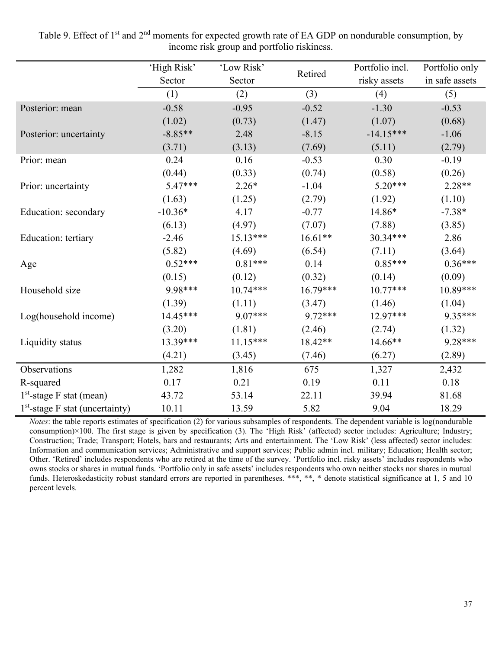|                                   | 'High Risk' | 'Low Risk' |            | Portfolio incl. | Portfolio only |
|-----------------------------------|-------------|------------|------------|-----------------|----------------|
|                                   | Sector      | Sector     | Retired    | risky assets    | in safe assets |
|                                   | (1)         | (2)        | (3)        | (4)             | (5)            |
| Posterior: mean                   | $-0.58$     | $-0.95$    | $-0.52$    | $-1.30$         | $-0.53$        |
|                                   | (1.02)      | (0.73)     | (1.47)     | (1.07)          | (0.68)         |
| Posterior: uncertainty            | $-8.85**$   | 2.48       | $-8.15$    | $-14.15***$     | $-1.06$        |
|                                   | (3.71)      | (3.13)     | (7.69)     | (5.11)          | (2.79)         |
| Prior: mean                       | 0.24        | 0.16       | $-0.53$    | 0.30            | $-0.19$        |
|                                   | (0.44)      | (0.33)     | (0.74)     | (0.58)          | (0.26)         |
| Prior: uncertainty                | $5.47***$   | $2.26*$    | $-1.04$    | $5.20***$       | $2.28**$       |
|                                   | (1.63)      | (1.25)     | (2.79)     | (1.92)          | (1.10)         |
| Education: secondary              | $-10.36*$   | 4.17       | $-0.77$    | 14.86*          | $-7.38*$       |
|                                   | (6.13)      | (4.97)     | (7.07)     | (7.88)          | (3.85)         |
| Education: tertiary               | $-2.46$     | $15.13***$ | $16.61**$  | 30.34***        | 2.86           |
|                                   | (5.82)      | (4.69)     | (6.54)     | (7.11)          | (3.64)         |
| Age                               | $0.52***$   | $0.81***$  | 0.14       | $0.85***$       | $0.36***$      |
|                                   | (0.15)      | (0.12)     | (0.32)     | (0.14)          | (0.09)         |
| Household size                    | 9.98***     | $10.74***$ | $16.79***$ | $10.77***$      | 10.89***       |
|                                   | (1.39)      | (1.11)     | (3.47)     | (1.46)          | (1.04)         |
| Log(household income)             | $14.45***$  | $9.07***$  | $9.72***$  | $12.97***$      | 9.35***        |
|                                   | (3.20)      | (1.81)     | (2.46)     | (2.74)          | (1.32)         |
| Liquidity status                  | 13.39***    | $11.15***$ | 18.42**    | 14.66**         | 9.28***        |
|                                   | (4.21)      | (3.45)     | (7.46)     | (6.27)          | (2.89)         |
| Observations                      | 1,282       | 1,816      | 675        | 1,327           | 2,432          |
| R-squared                         | 0.17        | 0.21       | 0.19       | 0.11            | 0.18           |
| $1st$ -stage F stat (mean)        | 43.72       | 53.14      | 22.11      | 39.94           | 81.68          |
| $1st$ -stage F stat (uncertainty) | 10.11       | 13.59      | 5.82       | 9.04            | 18.29          |

<span id="page-39-0"></span>Table 9. Effect of 1<sup>st</sup> and 2<sup>nd</sup> moments for expected growth rate of EA GDP on nondurable consumption, by income risk group and portfolio riskiness.

*Notes*: the table reports estimates of specification (2) for various subsamples of respondents. The dependent variable is log(nondurable consumption)×100. The first stage is given by specification (3). The 'High Risk' (affected) sector includes: Agriculture; Industry; Construction; Trade; Transport; Hotels, bars and restaurants; Arts and entertainment. The 'Low Risk' (less affected) sector includes: Information and communication services; Administrative and support services; Public admin incl. military; Education; Health sector; Other. 'Retired' includes respondents who are retired at the time of the survey. 'Portfolio incl. risky assets' includes respondents who owns stocks or shares in mutual funds. 'Portfolio only in safe assets' includes respondents who own neither stocks nor shares in mutual funds. Heteroskedasticity robust standard errors are reported in parentheses. \*\*\*, \*\*, \* denote statistical significance at 1, 5 and 10 percent levels.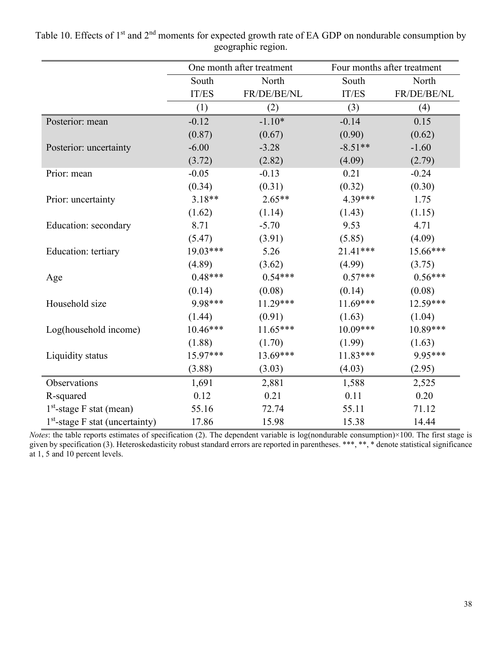|                                   |            | One month after treatment |            | Four months after treatment |
|-----------------------------------|------------|---------------------------|------------|-----------------------------|
|                                   | South      | North                     | South      | North                       |
|                                   | IT/ES      | FR/DE/BE/NL               | IT/ES      | FR/DE/BE/NL                 |
|                                   | (1)        | (2)                       | (3)        | (4)                         |
| Posterior: mean                   | $-0.12$    | $-1.10*$                  | $-0.14$    | 0.15                        |
|                                   | (0.87)     | (0.67)                    | (0.90)     | (0.62)                      |
| Posterior: uncertainty            | $-6.00$    | $-3.28$                   | $-8.51**$  | $-1.60$                     |
|                                   | (3.72)     | (2.82)                    | (4.09)     | (2.79)                      |
| Prior: mean                       | $-0.05$    | $-0.13$                   | 0.21       | $-0.24$                     |
|                                   | (0.34)     | (0.31)                    | (0.32)     | (0.30)                      |
| Prior: uncertainty                | $3.18**$   | $2.65**$                  | 4.39***    | 1.75                        |
|                                   | (1.62)     | (1.14)                    | (1.43)     | (1.15)                      |
| Education: secondary              | 8.71       | $-5.70$                   | 9.53       | 4.71                        |
|                                   | (5.47)     | (3.91)                    | (5.85)     | (4.09)                      |
| Education: tertiary               | 19.03***   | 5.26                      | $21.41***$ | 15.66***                    |
|                                   | (4.89)     | (3.62)                    | (4.99)     | (3.75)                      |
| Age                               | $0.48***$  | $0.54***$                 | $0.57***$  | $0.56***$                   |
|                                   | (0.14)     | (0.08)                    | (0.14)     | (0.08)                      |
| Household size                    | 9.98***    | $11.29***$                | $11.69***$ | 12.59***                    |
|                                   | (1.44)     | (0.91)                    | (1.63)     | (1.04)                      |
| Log(household income)             | $10.46***$ | $11.65***$                | $10.09***$ | 10.89***                    |
|                                   | (1.88)     | (1.70)                    | (1.99)     | (1.63)                      |
| Liquidity status                  | 15.97***   | $13.69***$                | $11.83***$ | 9.95***                     |
|                                   | (3.88)     | (3.03)                    | (4.03)     | (2.95)                      |
| Observations                      | 1,691      | 2,881                     | 1,588      | 2,525                       |
| R-squared                         | 0.12       | 0.21                      | 0.11       | 0.20                        |
| $1st$ -stage F stat (mean)        | 55.16      | 72.74                     | 55.11      | 71.12                       |
| $1st$ -stage F stat (uncertainty) | 17.86      | 15.98                     | 15.38      | 14.44                       |

Table 10. Effects of 1<sup>st</sup> and 2<sup>nd</sup> moments for expected growth rate of EA GDP on nondurable consumption by geographic region.

*Notes*: the table reports estimates of specification (2). The dependent variable is log(nondurable consumption)×100. The first stage is given by specification (3). Heteroskedasticity robust standard errors are reported in parentheses. \*\*\*, \*\*, \* denote statistical significance at 1, 5 and 10 percent levels.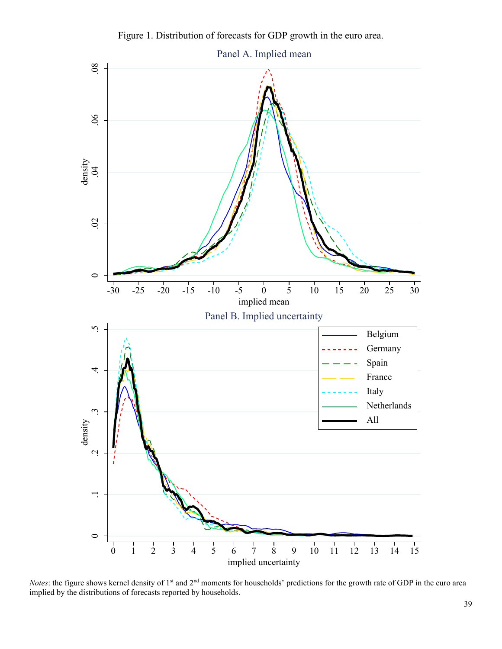Figure 1. Distribution of forecasts for GDP growth in the euro area.



*Notes*: the figure shows kernel density of 1<sup>st</sup> and 2<sup>nd</sup> moments for households' predictions for the growth rate of GDP in the euro area implied by the distributions of forecasts reported by households.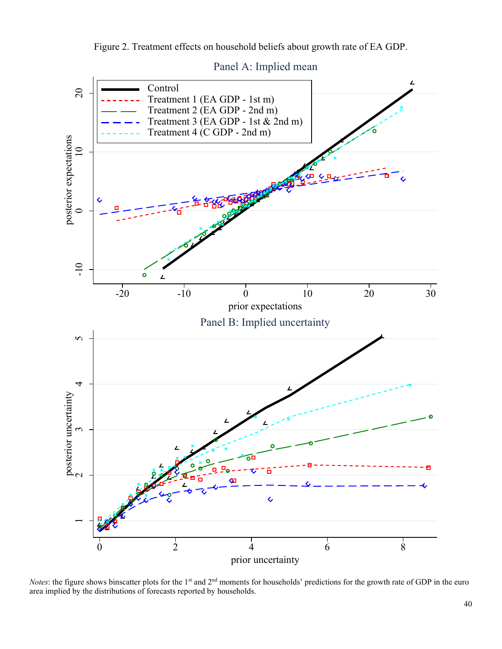Figure 2. Treatment effects on household beliefs about growth rate of EA GDP.



Panel A: Implied mean

*Notes*: the figure shows binscatter plots for the 1<sup>st</sup> and 2<sup>nd</sup> moments for households' predictions for the growth rate of GDP in the euro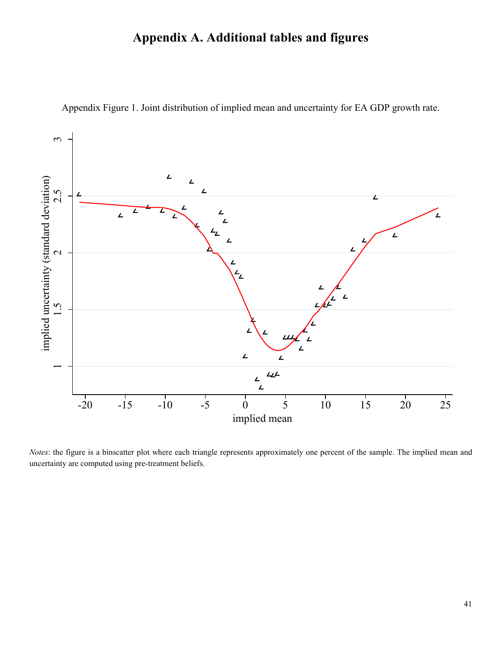# **Appendix A. Additional tables and figures**

<span id="page-43-0"></span>

Appendix Figure 1. Joint distribution of implied mean and uncertainty for EA GDP growth rate.

*Notes*: the figure is a binscatter plot where each triangle represents approximately one percent of the sample. The implied mean and uncertainty are computed using pre-treatment beliefs.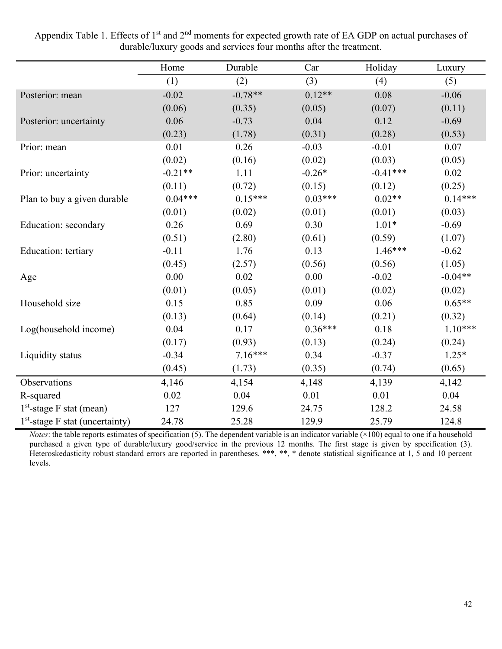|                                   | Home      | Durable   | Car       | Holiday    | Luxury    |
|-----------------------------------|-----------|-----------|-----------|------------|-----------|
|                                   | (1)       | (2)       | (3)       | (4)        | (5)       |
| Posterior: mean                   | $-0.02$   | $-0.78**$ | $0.12**$  | 0.08       | $-0.06$   |
|                                   | (0.06)    | (0.35)    | (0.05)    | (0.07)     | (0.11)    |
| Posterior: uncertainty            | 0.06      | $-0.73$   | 0.04      | 0.12       | $-0.69$   |
|                                   | (0.23)    | (1.78)    | (0.31)    | (0.28)     | (0.53)    |
| Prior: mean                       | 0.01      | 0.26      | $-0.03$   | $-0.01$    | 0.07      |
|                                   | (0.02)    | (0.16)    | (0.02)    | (0.03)     | (0.05)    |
| Prior: uncertainty                | $-0.21**$ | 1.11      | $-0.26*$  | $-0.41***$ | 0.02      |
|                                   | (0.11)    | (0.72)    | (0.15)    | (0.12)     | (0.25)    |
| Plan to buy a given durable       | $0.04***$ | $0.15***$ | $0.03***$ | $0.02**$   | $0.14***$ |
|                                   | (0.01)    | (0.02)    | (0.01)    | (0.01)     | (0.03)    |
| Education: secondary              | 0.26      | 0.69      | 0.30      | $1.01*$    | $-0.69$   |
|                                   | (0.51)    | (2.80)    | (0.61)    | (0.59)     | (1.07)    |
| Education: tertiary               | $-0.11$   | 1.76      | 0.13      | $1.46***$  | $-0.62$   |
|                                   | (0.45)    | (2.57)    | (0.56)    | (0.56)     | (1.05)    |
| Age                               | 0.00      | 0.02      | 0.00      | $-0.02$    | $-0.04**$ |
|                                   | (0.01)    | (0.05)    | (0.01)    | (0.02)     | (0.02)    |
| Household size                    | 0.15      | 0.85      | 0.09      | 0.06       | $0.65**$  |
|                                   | (0.13)    | (0.64)    | (0.14)    | (0.21)     | (0.32)    |
| Log(household income)             | 0.04      | 0.17      | $0.36***$ | 0.18       | $1.10***$ |
|                                   | (0.17)    | (0.93)    | (0.13)    | (0.24)     | (0.24)    |
| Liquidity status                  | $-0.34$   | $7.16***$ | 0.34      | $-0.37$    | $1.25*$   |
|                                   | (0.45)    | (1.73)    | (0.35)    | (0.74)     | (0.65)    |
| Observations                      | 4,146     | 4,154     | 4,148     | 4,139      | 4,142     |
| R-squared                         | 0.02      | 0.04      | 0.01      | 0.01       | 0.04      |
| $1st$ -stage F stat (mean)        | 127       | 129.6     | 24.75     | 128.2      | 24.58     |
| $1st$ -stage F stat (uncertainty) | 24.78     | 25.28     | 129.9     | 25.79      | 124.8     |

Appendix Table 1. Effects of 1<sup>st</sup> and 2<sup>nd</sup> moments for expected growth rate of EA GDP on actual purchases of durable/luxury goods and services four months after the treatment.

*Notes*: the table reports estimates of specification (5). The dependent variable is an indicator variable (×100) equal to one if a household purchased a given type of durable/luxury good/service in the previous 12 months. The first stage is given by specification (3). Heteroskedasticity robust standard errors are reported in parentheses. \*\*\*, \*\*, \* denote statistical significance at 1, 5 and 10 percent levels.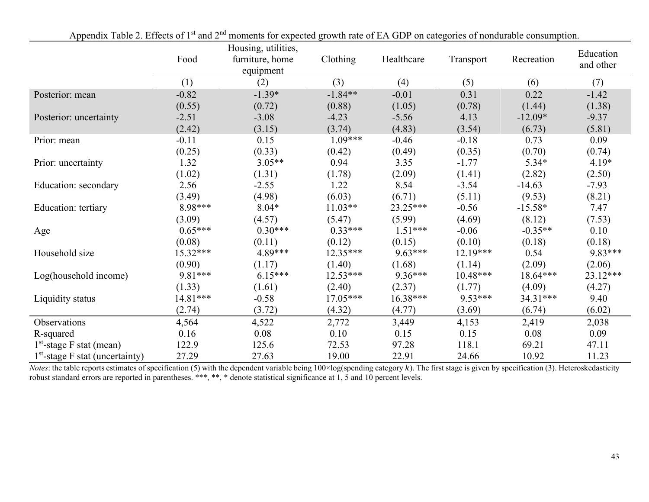|                                   |            | Housing, utilities, |            |            |            |            | Education |
|-----------------------------------|------------|---------------------|------------|------------|------------|------------|-----------|
|                                   | Food       | furniture, home     | Clothing   | Healthcare | Transport  | Recreation | and other |
|                                   |            | equipment           |            |            |            |            |           |
|                                   | (1)        | (2)                 | (3)        | (4)        | (5)        | (6)        | (7)       |
| Posterior: mean                   | $-0.82$    | $-1.39*$            | $-1.84**$  | $-0.01$    | 0.31       | 0.22       | $-1.42$   |
|                                   | (0.55)     | (0.72)              | (0.88)     | (1.05)     | (0.78)     | (1.44)     | (1.38)    |
| Posterior: uncertainty            | $-2.51$    | $-3.08$             | $-4.23$    | $-5.56$    | 4.13       | $-12.09*$  | $-9.37$   |
|                                   | (2.42)     | (3.15)              | (3.74)     | (4.83)     | (3.54)     | (6.73)     | (5.81)    |
| Prior: mean                       | $-0.11$    | 0.15                | $1.09***$  | $-0.46$    | $-0.18$    | 0.73       | 0.09      |
|                                   | (0.25)     | (0.33)              | (0.42)     | (0.49)     | (0.35)     | (0.70)     | (0.74)    |
| Prior: uncertainty                | 1.32       | $3.05**$            | 0.94       | 3.35       | $-1.77$    | $5.34*$    | $4.19*$   |
|                                   | (1.02)     | (1.31)              | (1.78)     | (2.09)     | (1.41)     | (2.82)     | (2.50)    |
| Education: secondary              | 2.56       | $-2.55$             | 1.22       | 8.54       | $-3.54$    | $-14.63$   | $-7.93$   |
|                                   | (3.49)     | (4.98)              | (6.03)     | (6.71)     | (5.11)     | (9.53)     | (8.21)    |
| Education: tertiary               | 8.98***    | $8.04*$             | $11.03**$  | $23.25***$ | $-0.56$    | $-15.58*$  | 7.47      |
|                                   | (3.09)     | (4.57)              | (5.47)     | (5.99)     | (4.69)     | (8.12)     | (7.53)    |
| Age                               | $0.65***$  | $0.30***$           | $0.33***$  | $1.51***$  | $-0.06$    | $-0.35**$  | 0.10      |
|                                   | (0.08)     | (0.11)              | (0.12)     | (0.15)     | (0.10)     | (0.18)     | (0.18)    |
| Household size                    | $15.32***$ | 4.89***             | $12.35***$ | $9.63***$  | $12.19***$ | 0.54       | 9.83***   |
|                                   | (0.90)     | (1.17)              | (1.40)     | (1.68)     | (1.14)     | (2.09)     | (2.06)    |
| Log(household income)             | 9.81***    | $6.15***$           | $12.53***$ | $9.36***$  | $10.48***$ | $18.64***$ | 23.12***  |
|                                   | (1.33)     | (1.61)              | (2.40)     | (2.37)     | (1.77)     | (4.09)     | (4.27)    |
| Liquidity status                  | 14.81***   | $-0.58$             | $17.05***$ | $16.38***$ | $9.53***$  | $34.31***$ | 9.40      |
|                                   | (2.74)     | (3.72)              | (4.32)     | (4.77)     | (3.69)     | (6.74)     | (6.02)    |
| Observations                      | 4,564      | 4,522               | 2,772      | 3,449      | 4,153      | 2,419      | 2,038     |
| R-squared                         | 0.16       | 0.08                | 0.10       | 0.15       | 0.15       | 0.08       | 0.09      |
| $1st$ -stage F stat (mean)        | 122.9      | 125.6               | 72.53      | 97.28      | 118.1      | 69.21      | 47.11     |
| $1st$ -stage F stat (uncertainty) | 27.29      | 27.63               | 19.00      | 22.91      | 24.66      | 10.92      | 11.23     |

Appendix Table 2. Effects of 1<sup>st</sup> and 2<sup>nd</sup> moments for expected growth rate of EA GDP on categories of nondurable consumption.

*Notes*: the table reports estimates of specification (5) with the dependent variable being 100×log(spending category k). The first stage is given by specification (3). Heteroskedasticity robust standard errors are reported in parentheses. \*\*\*, \*\*, \* denote statistical significance at 1, 5 and 10 percent levels.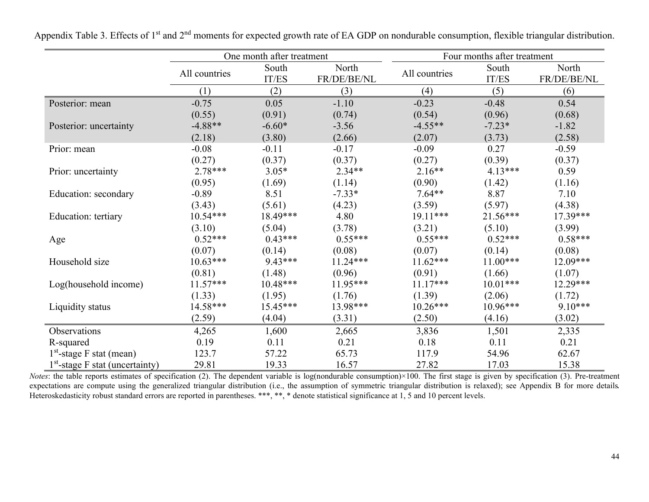<span id="page-46-0"></span>

|                                   | One month after treatment |                |                      | Four months after treatment |                |                      |
|-----------------------------------|---------------------------|----------------|----------------------|-----------------------------|----------------|----------------------|
|                                   | All countries             | South<br>IT/ES | North<br>FR/DE/BE/NL | All countries               | South<br>IT/ES | North<br>FR/DE/BE/NL |
|                                   | (1)                       | (2)            | (3)                  | (4)                         | (5)            | (6)                  |
| Posterior: mean                   | $-0.75$                   | 0.05           | $-1.10$              | $-0.23$                     | $-0.48$        | 0.54                 |
|                                   | (0.55)                    | (0.91)         | (0.74)               | (0.54)                      | (0.96)         | (0.68)               |
| Posterior: uncertainty            | $-4.88**$                 | $-6.60*$       | $-3.56$              | $-4.55**$                   | $-7.23*$       | $-1.82$              |
|                                   | (2.18)                    | (3.80)         | (2.66)               | (2.07)                      | (3.73)         | (2.58)               |
| Prior: mean                       | $-0.08$                   | $-0.11$        | $-0.17$              | $-0.09$                     | 0.27           | $-0.59$              |
|                                   | (0.27)                    | (0.37)         | (0.37)               | (0.27)                      | (0.39)         | (0.37)               |
| Prior: uncertainty                | $2.78***$                 | $3.05*$        | $2.34**$             | $2.16**$                    | $4.13***$      | 0.59                 |
|                                   | (0.95)                    | (1.69)         | (1.14)               | (0.90)                      | (1.42)         | (1.16)               |
| Education: secondary              | $-0.89$                   | 8.51           | $-7.33*$             | $7.64**$                    | 8.87           | 7.10                 |
|                                   | (3.43)                    | (5.61)         | (4.23)               | (3.59)                      | (5.97)         | (4.38)               |
| Education: tertiary               | $10.54***$                | 18.49***       | 4.80                 | $19.11***$                  | $21.56***$     | $17.39***$           |
|                                   | (3.10)                    | (5.04)         | (3.78)               | (3.21)                      | (5.10)         | (3.99)               |
| Age                               | $0.52***$                 | $0.43***$      | $0.55***$            | $0.55***$                   | $0.52***$      | $0.58***$            |
|                                   | (0.07)                    | (0.14)         | (0.08)               | (0.07)                      | (0.14)         | (0.08)               |
| Household size                    | $10.63***$                | $9.43***$      | $11.24***$           | $11.62***$                  | $11.00***$     | $12.09***$           |
|                                   | (0.81)                    | (1.48)         | (0.96)               | (0.91)                      | (1.66)         | (1.07)               |
| Log(household income)             | $11.57***$                | $10.48***$     | $11.95***$           | $11.17***$                  | $10.01***$     | $12.29***$           |
|                                   | (1.33)                    | (1.95)         | (1.76)               | (1.39)                      | (2.06)         | (1.72)               |
| Liquidity status                  | $14.58***$                | $15.45***$     | 13.98***             | $10.26***$                  | $10.96***$     | $9.10***$            |
|                                   | (2.59)                    | (4.04)         | (3.31)               | (2.50)                      | (4.16)         | (3.02)               |
| Observations                      | 4,265                     | 1,600          | 2,665                | 3,836                       | 1,501          | 2,335                |
| R-squared                         | 0.19                      | 0.11           | 0.21                 | 0.18                        | 0.11           | 0.21                 |
| $1st$ -stage F stat (mean)        | 123.7                     | 57.22          | 65.73                | 117.9                       | 54.96          | 62.67                |
| $1st$ -stage F stat (uncertainty) | 29.81                     | 19.33          | 16.57                | 27.82                       | 17.03          | 15.38                |

Appendix Table 3. Effects of 1<sup>st</sup> and 2<sup>nd</sup> moments for expected growth rate of EA GDP on nondurable consumption, flexible triangular distribution.

*Notes*: the table reports estimates of specification (2). The dependent variable is log(nondurable consumption)×100. The first stage is given by specification (3). Pre-treatment expectations are compute using the generalized triangular distribution (i.e., the assumption of symmetric triangular distribution is relaxed); see Appendix B for more details. Heteroskedasticity robust standard errors are reported in parentheses. \*\*\*, \*\*, \* denote statistical significance at 1, 5 and 10 percent levels.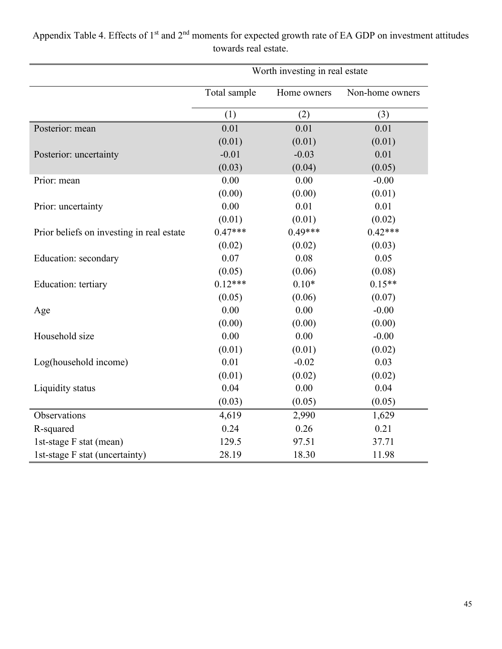|                                           | Worth investing in real estate |             |                 |
|-------------------------------------------|--------------------------------|-------------|-----------------|
|                                           | Total sample                   | Home owners | Non-home owners |
|                                           | (1)                            | (2)         | (3)             |
| Posterior: mean                           | 0.01                           | 0.01        | 0.01            |
|                                           | (0.01)                         | (0.01)      | (0.01)          |
| Posterior: uncertainty                    | $-0.01$                        | $-0.03$     | 0.01            |
|                                           | (0.03)                         | (0.04)      | (0.05)          |
| Prior: mean                               | 0.00                           | 0.00        | $-0.00$         |
|                                           | (0.00)                         | (0.00)      | (0.01)          |
| Prior: uncertainty                        | 0.00                           | 0.01        | 0.01            |
|                                           | (0.01)                         | (0.01)      | (0.02)          |
| Prior beliefs on investing in real estate | $0.47***$                      | $0.49***$   | $0.42***$       |
|                                           | (0.02)                         | (0.02)      | (0.03)          |
| Education: secondary                      | 0.07                           | 0.08        | 0.05            |
|                                           | (0.05)                         | (0.06)      | (0.08)          |
| Education: tertiary                       | $0.12***$                      | $0.10*$     | $0.15**$        |
|                                           | (0.05)                         | (0.06)      | (0.07)          |
| Age                                       | 0.00                           | 0.00        | $-0.00$         |
|                                           | (0.00)                         | (0.00)      | (0.00)          |
| Household size                            | 0.00                           | 0.00        | $-0.00$         |
|                                           | (0.01)                         | (0.01)      | (0.02)          |
| Log(household income)                     | 0.01                           | $-0.02$     | 0.03            |
|                                           | (0.01)                         | (0.02)      | (0.02)          |
| Liquidity status                          | 0.04                           | 0.00        | 0.04            |
|                                           | (0.03)                         | (0.05)      | (0.05)          |
| Observations                              | 4,619                          | 2,990       | 1,629           |
| R-squared                                 | 0.24                           | 0.26        | 0.21            |
| 1st-stage F stat (mean)                   | 129.5                          | 97.51       | 37.71           |
| 1st-stage F stat (uncertainty)            | 28.19                          | 18.30       | 11.98           |

Appendix Table 4. Effects of 1<sup>st</sup> and 2<sup>nd</sup> moments for expected growth rate of EA GDP on investment attitudes towards real estate.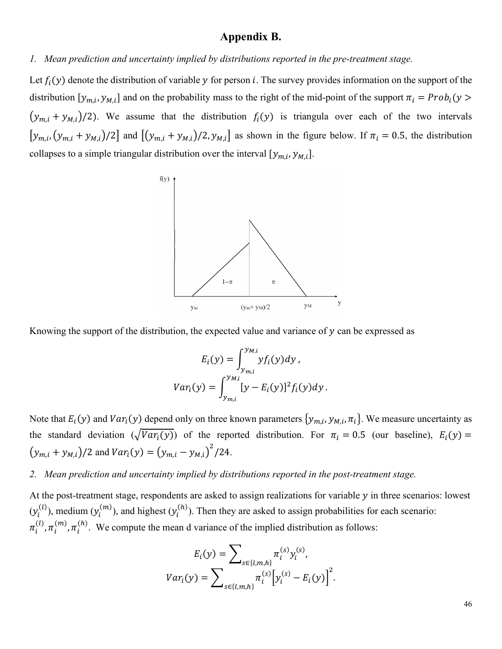# **Appendix B.**

*1. Mean prediction and uncertainty implied by distributions reported in the pre-treatment stage.* 

Let  $f_i(y)$  denote the distribution of variable y for person i. The survey provides information on the support of the distribution  $[y_{m,i}, y_{M,i}]$  and on the probability mass to the right of the mid-point of the support  $\pi_i = Prob_i(y >$  $(y_{m,i} + y_{M,i})/2$ ). We assume that the distribution  $f_i(y)$  is triangula over each of the two intervals  $[y_{m,i}, (y_{m,i} + y_{M,i})/2]$  and  $[(y_{m,i} + y_{M,i})/2, y_{M,i}]$  as shown in the figure below. If  $\pi_i = 0.5$ , the distribution collapses to a simple triangular distribution over the interval  $[y_{m,i}, y_{M,i}]$ .



Knowing the support of the distribution, the expected value and variance of  $y$  can be expressed as

$$
E_i(y) = \int_{y_{m,i}}^{y_{M,i}} y f_i(y) dy,
$$
  

$$
Var_i(y) = \int_{y_{m,i}}^{y_{M,i}} [y - E_i(y)]^2 f_i(y) dy.
$$

Note that  $E_i(y)$  and  $Var_i(y)$  depend only on three known parameters  $\{y_{m,i}, y_{M,i}, \pi_i\}$ . We measure uncertainty as the standard deviation  $(\sqrt{Var_i(y)})$  of the reported distribution. For  $\pi_i = 0.5$  (our baseline),  $E_i(y) =$  $(y_{m,i} + y_{M,i})/2$  and  $Var_i(y) = (y_{m,i} - y_{M,i})^2/24$ .

*2. Mean prediction and uncertainty implied by distributions reported in the post-treatment stage.* 

At the post-treatment stage, respondents are asked to assign realizations for variable  $y$  in three scenarios: lowest  $(y_i^{(l)})$ , medium  $(y_i^{(m)})$ , and highest  $(y_i^{(h)})$ . Then they are asked to assign probabilities for each scenario:  $\pi_i^{(l)}, \pi_i^{(m)}, \pi_i^{(h)}$ . We compute the mean d variance of the implied distribution as follows:

$$
E_i(y) = \sum_{s \in \{l,m,h\}} \pi_i^{(s)} y_i^{(s)},
$$
  

$$
Var_i(y) = \sum_{s \in \{l,m,h\}} \pi_i^{(s)} [y_i^{(s)} - E_i(y)]^2.
$$

46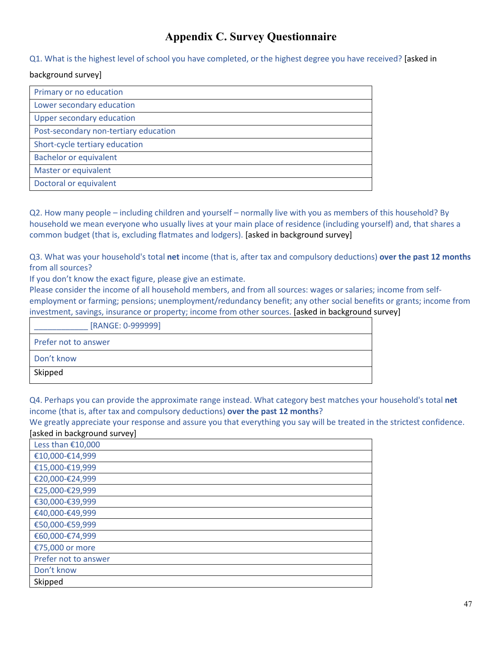# **Appendix C. Survey Questionnaire**

Q1. What is the highest level of school you have completed, or the highest degree you have received? [asked in

#### background survey]

| Primary or no education               |
|---------------------------------------|
| Lower secondary education             |
| <b>Upper secondary education</b>      |
| Post-secondary non-tertiary education |
| Short-cycle tertiary education        |
| <b>Bachelor or equivalent</b>         |
| Master or equivalent                  |
| Doctoral or equivalent                |

Q2. How many people – including children and yourself – normally live with you as members of this household? By household we mean everyone who usually lives at your main place of residence (including yourself) and, that shares a common budget (that is, excluding flatmates and lodgers). [asked in background survey]

Q3. What was your household's total **net** income (that is, after tax and compulsory deductions) **over the past 12 months** from all sources?

If you don't know the exact figure, please give an estimate.

Please consider the income of all household members, and from all sources: wages or salaries; income from selfemployment or farming; pensions; unemployment/redundancy benefit; any other social benefits or grants; income from investment, savings, insurance or property; income from other sources. [asked in background survey]

| [RANGE: 0-999999]    |
|----------------------|
| Prefer not to answer |
| Don't know           |
| Skipped              |

Q4. Perhaps you can provide the approximate range instead. What category best matches your household's total **net** income (that is, after tax and compulsory deductions) **over the past 12 months**?

We greatly appreciate your response and assure you that everything you say will be treated in the strictest confidence. [asked in background survey]

| Less than €10,000    |
|----------------------|
| €10,000-€14,999      |
| €15,000-€19,999      |
| €20,000-€24,999      |
| €25,000-€29,999      |
| €30,000-€39,999      |
| €40,000-€49,999      |
| €50,000-€59,999      |
| €60,000-€74,999      |
| €75,000 or more      |
| Prefer not to answer |
| Don't know           |
| Skipped              |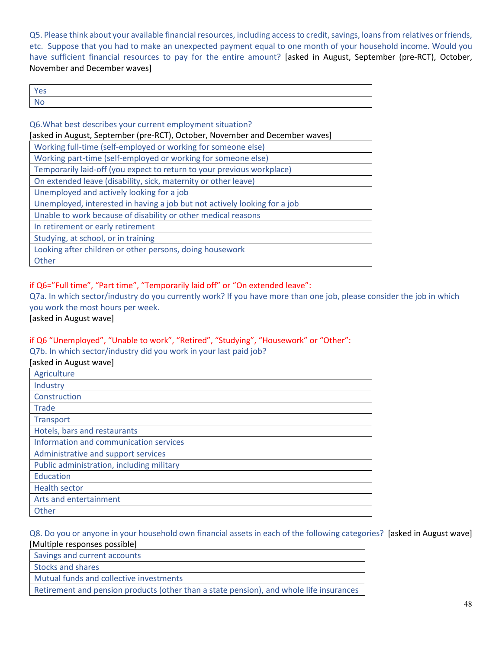Q5. Please think about your available financial resources, including access to credit, savings, loans from relatives or friends, etc. Suppose that you had to make an unexpected payment equal to one month of your household income. Would you have sufficient financial resources to pay for the entire amount? [asked in August, September (pre-RCT), October, November and December waves]

| <b>Yes</b>            |  |
|-----------------------|--|
| l No<br>and the state |  |

| Q6. What best describes your current employment situation?                   |  |  |  |
|------------------------------------------------------------------------------|--|--|--|
| [asked in August, September (pre-RCT), October, November and December waves] |  |  |  |
| Working full-time (self-employed or working for someone else)                |  |  |  |
| Working part-time (self-employed or working for someone else)                |  |  |  |
| Temporarily laid-off (you expect to return to your previous workplace)       |  |  |  |
| On extended leave (disability, sick, maternity or other leave)               |  |  |  |
| Unemployed and actively looking for a job                                    |  |  |  |
| Unemployed, interested in having a job but not actively looking for a job    |  |  |  |
| Unable to work because of disability or other medical reasons                |  |  |  |
| In retirement or early retirement                                            |  |  |  |
| Studying, at school, or in training                                          |  |  |  |
| Looking after children or other persons, doing housework                     |  |  |  |
| Other                                                                        |  |  |  |

## if Q6="Full time", "Part time", "Temporarily laid off" or "On extended leave":

Q7a. In which sector/industry do you currently work? If you have more than one job, please consider the job in which you work the most hours per week.

[asked in August wave]

# if Q6 "Unemployed", "Unable to work", "Retired", "Studying", "Housework" or "Other":

Q7b. In which sector/industry did you work in your last paid job?

| [asked in August wave]                    |
|-------------------------------------------|
| Agriculture                               |
| Industry                                  |
| Construction                              |
| Trade                                     |
| <b>Transport</b>                          |
| Hotels, bars and restaurants              |
| Information and communication services    |
| Administrative and support services       |
| Public administration, including military |
| Education                                 |
| <b>Health sector</b>                      |
| Arts and entertainment                    |
| Other                                     |

#### Q8. Do you or anyone in your household own financial assets in each of the following categories? [asked in August wave] [Multiple responses possible]

Savings and current accounts

Stocks and shares

Mutual funds and collective investments

Retirement and pension products (other than a state pension), and whole life insurances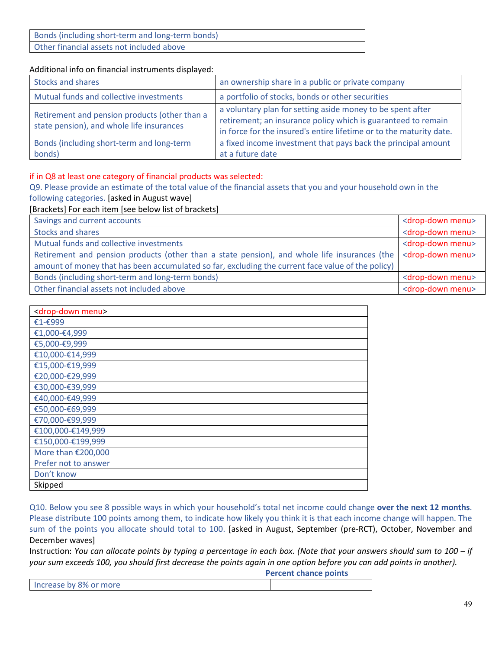| Bonds (including short-term and long-term bonds) |
|--------------------------------------------------|
| Other financial assets not included above        |

#### Additional info on financial instruments displayed:

| <b>Stocks and shares</b>                                                                   | an ownership share in a public or private company                                                                                                                                                  |
|--------------------------------------------------------------------------------------------|----------------------------------------------------------------------------------------------------------------------------------------------------------------------------------------------------|
| Mutual funds and collective investments                                                    | a portfolio of stocks, bonds or other securities                                                                                                                                                   |
| Retirement and pension products (other than a<br>state pension), and whole life insurances | a voluntary plan for setting aside money to be spent after<br>retirement; an insurance policy which is guaranteed to remain<br>in force for the insured's entire lifetime or to the maturity date. |
| Bonds (including short-term and long-term<br>bonds)                                        | a fixed income investment that pays back the principal amount<br>at a future date                                                                                                                  |

#### if in Q8 at least one category of financial products was selected:

Q9. Please provide an estimate of the total value of the financial assets that you and your household own in the following categories. [asked in August wave]

[Brackets] For each item [see below list of brackets]

| Savings and current accounts                                                                      | <drop-down menu=""></drop-down> |
|---------------------------------------------------------------------------------------------------|---------------------------------|
| <b>Stocks and shares</b>                                                                          | <drop-down menu=""></drop-down> |
| Mutual funds and collective investments                                                           | <drop-down menu=""></drop-down> |
| Retirement and pension products (other than a state pension), and whole life insurances (the      | <drop-down menu=""></drop-down> |
| amount of money that has been accumulated so far, excluding the current face value of the policy) |                                 |
| Bonds (including short-term and long-term bonds)                                                  | <drop-down menu=""></drop-down> |
| Other financial assets not included above                                                         | <drop-down menu=""></drop-down> |

| <drop-down menu=""></drop-down> |
|---------------------------------|
| €1-€999                         |
| €1,000-€4,999                   |
| €5,000-€9,999                   |
| €10,000-€14,999                 |
| €15,000-€19,999                 |
| €20,000-€29,999                 |
| €30,000-€39,999                 |
| €40,000-€49,999                 |
| €50,000-€69,999                 |
| €70,000-€99,999                 |
| €100,000-€149,999               |
| €150,000-€199,999               |
| More than €200,000              |
| Prefer not to answer            |
| Don't know                      |
| Skipped                         |

Q10. Below you see 8 possible ways in which your household's total net income could change **over the next 12 months**. Please distribute 100 points among them, to indicate how likely you think it is that each income change will happen. The sum of the points you allocate should total to 100. [asked in August, September (pre-RCT), October, November and December waves]

Instruction: *You can allocate points by typing a percentage in each box. (Note that your answers should sum to 100 – if your sum exceeds 100, you should first decrease the points again in one option before you can add points in another).* 

**Percent chance points**

| Increase by 8% or more |  |
|------------------------|--|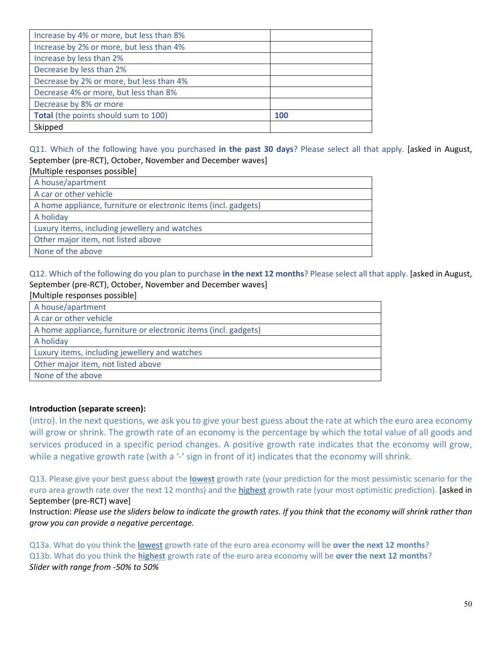| Increase by 4% or more, but less than 8% |     |
|------------------------------------------|-----|
| Increase by 2% or more, but less than 4% |     |
| Increase by less than 2%                 |     |
| Decrease by less than 2%                 |     |
| Decrease by 2% or more, but less than 4% |     |
| Decrease 4% or more, but less than 8%    |     |
| Decrease by 8% or more                   |     |
| Total (the points should sum to 100)     | 100 |
| Skipped                                  |     |

# Q11. Which of the following have you purchased **in the past 30 days**? Please select all that apply. [asked in August, September (pre-RCT), October, November and December waves]

# [Multiple responses possible]

| A house/apartment                                               |
|-----------------------------------------------------------------|
| A car or other vehicle                                          |
| A home appliance, furniture or electronic items (incl. gadgets) |
| A holiday                                                       |
| Luxury items, including jewellery and watches                   |
| Other major item, not listed above                              |
| None of the above                                               |

## Q12. Which of the following do you plan to purchase **in the next 12 months**? Please select all that apply. [asked in August, September (pre-RCT), October, November and December waves]

| [Multiple responses possible]                                   |
|-----------------------------------------------------------------|
| A house/apartment                                               |
| A car or other vehicle                                          |
| A home appliance, furniture or electronic items (incl. gadgets) |
| A holiday                                                       |
| Luxury items, including jewellery and watches                   |
| Other major item, not listed above                              |
| None of the above                                               |

## **Introduction (separate screen):**

(intro). In the next questions, we ask you to give your best guess about the rate at which the euro area economy will grow or shrink. The growth rate of an economy is the percentage by which the total value of all goods and services produced in a specific period changes. A positive growth rate indicates that the economy will grow, while a negative growth rate (with a '-' sign in front of it) indicates that the economy will shrink.

Q13. Please give your best guess about the **lowest** growth rate (your prediction for the most pessimistic scenario for the euro area growth rate over the next 12 months) and the **highest** growth rate (your most optimistic prediction). [asked in September (pre-RCT) wave]

Instruction: *Please use the sliders below to indicate the growth rates. If you think that the economy will shrink rather than grow you can provide a negative percentage.* 

Q13a. What do you think the **lowest** growth rate of the euro area economy will be **over the next 12 months**? Q13b. What do you think the **highest** growth rate of the euro area economy will be **over the next 12 months**? *Slider with range from -50% to 50%*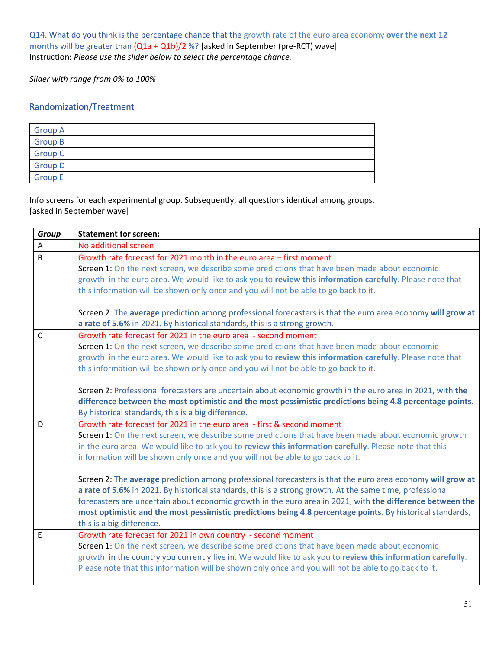Q14. What do you think is the percentage chance that the growth rate of the euro area economy **over the next 12 months** will be greater than (Q1a + Q1b)/2 %? [asked in September (pre-RCT) wave] Instruction: *Please use the slider below to select the percentage chance.* 

*Slider with range from 0% to 100%* 

# Randomization/Treatment

| <b>Group A</b> |  |
|----------------|--|
| <b>Group B</b> |  |
| <b>Group C</b> |  |
| <b>Group D</b> |  |
| <b>Group E</b> |  |

Info screens for each experimental group. Subsequently, all questions identical among groups. [asked in September wave]

| <b>Group</b>   | <b>Statement for screen:</b>                                                                                                                                                                                                                                                                                                                                                                                                                                                    |
|----------------|---------------------------------------------------------------------------------------------------------------------------------------------------------------------------------------------------------------------------------------------------------------------------------------------------------------------------------------------------------------------------------------------------------------------------------------------------------------------------------|
| A              | No additional screen                                                                                                                                                                                                                                                                                                                                                                                                                                                            |
| $\overline{B}$ | Growth rate forecast for 2021 month in the euro area - first moment<br>Screen 1: On the next screen, we describe some predictions that have been made about economic<br>growth in the euro area. We would like to ask you to review this information carefully. Please note that<br>this information will be shown only once and you will not be able to go back to it.                                                                                                         |
|                | Screen 2: The average prediction among professional forecasters is that the euro area economy will grow at<br>a rate of 5.6% in 2021. By historical standards, this is a strong growth.                                                                                                                                                                                                                                                                                         |
| $\mathsf{C}$   | Growth rate forecast for 2021 in the euro area - second moment<br>Screen 1: On the next screen, we describe some predictions that have been made about economic<br>growth in the euro area. We would like to ask you to review this information carefully. Please note that<br>this information will be shown only once and you will not be able to go back to it.<br>Screen 2: Professional forecasters are uncertain about economic growth in the euro area in 2021, with the |
|                | difference between the most optimistic and the most pessimistic predictions being 4.8 percentage points.<br>By historical standards, this is a big difference.                                                                                                                                                                                                                                                                                                                  |
| D              | Growth rate forecast for 2021 in the euro area - first & second moment<br>Screen 1: On the next screen, we describe some predictions that have been made about economic growth<br>in the euro area. We would like to ask you to review this information carefully. Please note that this<br>information will be shown only once and you will not be able to go back to it.                                                                                                      |
|                | Screen 2: The average prediction among professional forecasters is that the euro area economy will grow at<br>a rate of 5.6% in 2021. By historical standards, this is a strong growth. At the same time, professional<br>forecasters are uncertain about economic growth in the euro area in 2021, with the difference between the<br>most optimistic and the most pessimistic predictions being 4.8 percentage points. By historical standards,<br>this is a big difference.  |
| E              | Growth rate forecast for 2021 in own country - second moment<br>Screen 1: On the next screen, we describe some predictions that have been made about economic<br>growth in the country you currently live in. We would like to ask you to review this information carefully.<br>Please note that this information will be shown only once and you will not be able to go back to it.                                                                                            |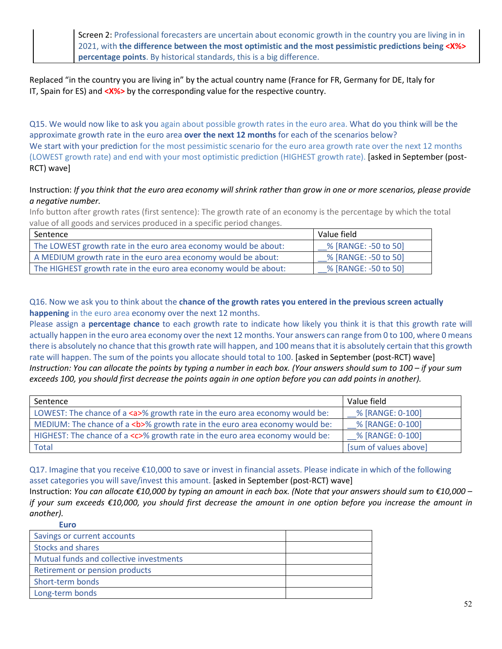Screen 2: Professional forecasters are uncertain about economic growth in the country you are living in in 2021, with **the difference between the most optimistic and the most pessimistic predictions being <X%> percentage points**. By historical standards, this is a big difference.

Replaced "in the country you are living in" by the actual country name (France for FR, Germany for DE, Italy for IT, Spain for ES) and **<X%>** by the corresponding value for the respective country.

Q15. We would now like to ask you again about possible growth rates in the euro area. What do you think will be the approximate growth rate in the euro area **over the next 12 months** for each of the scenarios below? We start with your prediction for the most pessimistic scenario for the euro area growth rate over the next 12 months (LOWEST growth rate) and end with your most optimistic prediction (HIGHEST growth rate). [asked in September (post-RCT) wave]

## Instruction: *If you think that the euro area economy will shrink rather than grow in one or more scenarios, please provide a negative number.*

Info button after growth rates (first sentence): The growth rate of an economy is the percentage by which the total value of all goods and services produced in a specific period changes.

| l Sentence                                                       | Value field          |
|------------------------------------------------------------------|----------------------|
| The LOWEST growth rate in the euro area economy would be about:  | % [RANGE: -50 to 50] |
| A MEDIUM growth rate in the euro area economy would be about:    | % [RANGE: -50 to 50] |
| The HIGHEST growth rate in the euro area economy would be about: | % [RANGE: -50 to 50] |

Q16. Now we ask you to think about the **chance of the growth rates you entered in the previous screen actually happening** in the euro area economy over the next 12 months.

Please assign a **percentage chance** to each growth rate to indicate how likely you think it is that this growth rate will actually happen in the euro area economy over the next 12 months. Your answers can range from 0 to 100, where 0 means there is absolutely no chance that this growth rate will happen, and 100 means that it is absolutely certain that this growth rate will happen. The sum of the points you allocate should total to 100. [asked in September (post-RCT) wave] *Instruction: You can allocate the points by typing a number in each box. (Your answers should sum to 100 – if your sum exceeds 100, you should first decrease the points again in one option before you can add points in another).*

| Sentence                                                                         | Value field           |
|----------------------------------------------------------------------------------|-----------------------|
| LOWEST: The chance of a <a>% growth rate in the euro area economy would be:</a>  | % [RANGE: 0-100]      |
| MEDIUM: The chance of a $5$ % growth rate in the euro area economy would be:     | % [RANGE: 0-100]      |
| HIGHEST: The chance of a <c>% growth rate in the euro area economy would be:</c> | % [RANGE: 0-100]      |
| Total                                                                            | [sum of values above] |

Q17. Imagine that you receive €10,000 to save or invest in financial assets. Please indicate in which of the following asset categories you will save/invest this amount. [asked in September (post-RCT) wave]

Instruction: *You can allocate €10,000 by typing an amount in each box. (Note that your answers should sum to €10,000 – if your sum exceeds €10,000, you should first decrease the amount in one option before you increase the amount in another).* **Euro**

| Savings or current accounts             |  |
|-----------------------------------------|--|
| <b>Stocks and shares</b>                |  |
| Mutual funds and collective investments |  |
| Retirement or pension products          |  |
| Short-term bonds                        |  |
| Long-term bonds                         |  |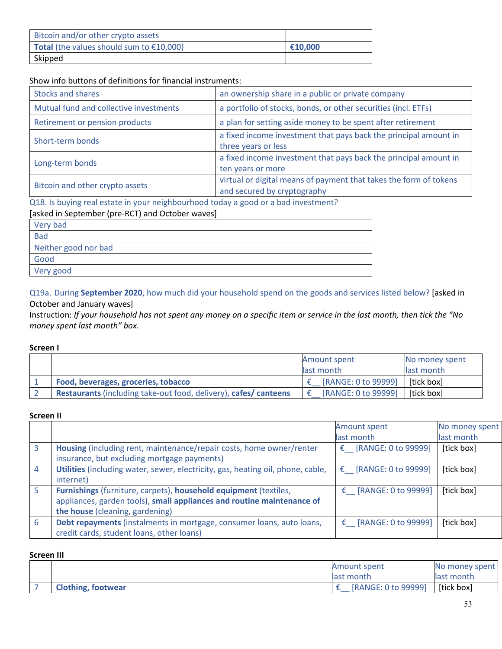| Bitcoin and/or other crypto assets                        |         |
|-----------------------------------------------------------|---------|
| <b>Total</b> (the values should sum to $\epsilon$ 10,000) | €10,000 |
| Skipped                                                   |         |

#### Show info buttons of definitions for financial instruments:

| <b>Stocks and shares</b>               | an ownership share in a public or private company                                                |
|----------------------------------------|--------------------------------------------------------------------------------------------------|
| Mutual fund and collective investments | a portfolio of stocks, bonds, or other securities (incl. ETFs)                                   |
| Retirement or pension products         | a plan for setting aside money to be spent after retirement                                      |
| Short-term bonds                       | a fixed income investment that pays back the principal amount in<br>three years or less          |
| Long-term bonds                        | a fixed income investment that pays back the principal amount in<br>ten years or more            |
| Bitcoin and other crypto assets        | virtual or digital means of payment that takes the form of tokens<br>and secured by cryptography |

#### Q18. Is buying real estate in your neighbourhood today a good or a bad investment?

# [asked in September (pre-RCT) and October waves]

| Very bad             |
|----------------------|
| <b>Bad</b>           |
| Neither good nor bad |
| Good                 |
| Very good            |

Q19a. During **September 2020**, how much did your household spend on the goods and services listed below? [asked in October and January waves]

Instruction: *If your household has not spent any money on a specific item or service in the last month, then tick the "No money spent last month" box.*

#### **Screen I**

|                                                                         | <b>Amount spent</b> | No money spent |
|-------------------------------------------------------------------------|---------------------|----------------|
|                                                                         | last month          | last month     |
| Food, beverages, groceries, tobacco                                     | [RANGE: 0 to 99999] | [tick box]     |
| <b>Restaurants</b> (including take-out food, delivery), cafes/ canteens | [RANGE: 0 to 99999] | [tick box]     |

#### **Screen II**

|                |                                                                                 | Amount spent          | No money spent |
|----------------|---------------------------------------------------------------------------------|-----------------------|----------------|
|                |                                                                                 | last month            | last month     |
| 3              | Housing (including rent, maintenance/repair costs, home owner/renter            | € [RANGE: 0 to 99999] | [tick box]     |
|                | insurance, but excluding mortgage payments)                                     |                       |                |
| $\overline{4}$ | Utilities (including water, sewer, electricity, gas, heating oil, phone, cable, | € [RANGE: 0 to 99999] | [tick box]     |
|                | internet)                                                                       |                       |                |
|                | Furnishings (furniture, carpets), household equipment (textiles,                | € [RANGE: 0 to 99999] | [tick box]     |
|                | appliances, garden tools), small appliances and routine maintenance of          |                       |                |
|                | the house (cleaning, gardening)                                                 |                       |                |
| -6             | Debt repayments (instalments in mortgage, consumer loans, auto loans,           | € [RANGE: 0 to 99999] | [tick box]     |
|                | credit cards, student loans, other loans)                                       |                       |                |

#### **Screen III**

|                           | Amount spent        | No money spent |
|---------------------------|---------------------|----------------|
|                           | last month          | llast month    |
| <b>Clothing, footwear</b> | [RANGE: 0 to 99999] | [tick box]     |